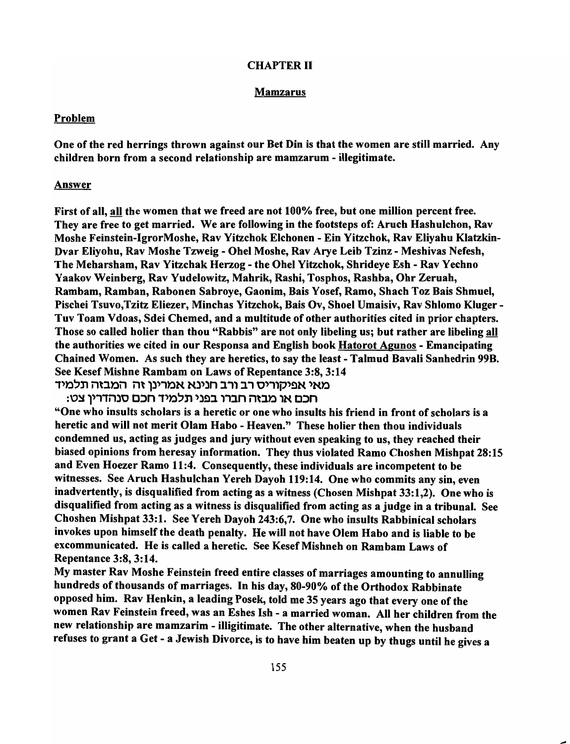### CHAPTER II

### Mamzarus

#### Problem

One of the red herrings thrown against our Det Din is that the women are still married. Any children born from a second relationship are mamzarum - illegitimate.

#### Answer

First of all, all the women that we freed are not 100% free, but one million percent free. They are free to get married. We are following in the footsteps of: Aruch Hashulchon, Rav Moshe Feinstein-IgrorMoshe, Rav Yitzchok Elchonen - Ein Yitzchok, Rav Eliyahu Klatzkin-Dvar Eliyohu, Rav Moshe Tzweig - Ohel Moshe, Rav Arye Leib Tzinz - Meshivas Nefesh, The Meharsham, Rav Yitzchak Herzog - the Ohel Yitzchok, Shrideye Esh - Rav Yechno Yaakov Weinberg, Rav Yudelowitz, Mahrik, Rashi, Tosphos, Rashba, Ohr Zeruah, Rambam, Ramban, Rabonen Sabroye, Gaonim, Bais Yosef, Ramo, Shach Toz Dais Shmuel, Pischei Tsuvo,Tzitz Eliezer, Minchas Yitzchok, Dais Ov, Shoel Umaisiv, Rav Shlomo Kluger-Tuv Toam Vdoas, Sdei Chemed, and a multitude of other authorities cited in prior chapters. Those so called holier than thou "Rabbis" are not only libeling us; but rather are libeling all the authorities we cited in our Responsa and English book Hatorot Agunos - Emancipating Chained Women. As such they are heretics, to say the least - Talmud Bavali Sanhedrin 99B. See Kesef Mishne Rambam on Laws of Repentance 3:8, 3:14 מאי אפיקוריס רב ורב חנינא אמרינן זה המבזה תלמיד

חכם או מבזה חברו בפני תלמיד חכם סנהדרין צט:

"One who insults scholars is a heretic or one who insults his friend in front of scholars is a heretic and will not merit Olam Habo - Heaven." These holier then thou individuals condemned us, acting as judges and jury without even speaking to us, they reached their biased opinions from heresay information. They thus violated Ramo Choshen Mishpat 28: 15 and Even Hoezer Ramo 11:4. Consequently, these individuals are incompetent to be witnesses. See Aruch Hashulchan Yereh Dayoh 119:14. One who commits any sin, even inadvertently, is disqualified from acting as a witness (Chosen Mishpat 33:1,2). One who is disqualified from acting as a witness is disqualified from acting as a judge in a tribunal. See Choshen Mishpat 33:1. See Yereh Dayoh 243:6,7. One who insults Rabbinical scholars invokes upon himself the death penalty. He will not have Olem Habo and is liable to be excommunicated. He is called a heretic. See Kesef Mishneh on Rambam Laws of Repentance 3:8,3:14.

My master Rav Moshe Feinstein freed entire classes of marriages amounting to annulling hundreds of thousands of marriages. In his day, 80-90% of the Orthodox Rabbinate opposed him. Rav Henkin, a leading Posek, told me 35 years ago that every one of the women Rav Feinstein freed, was an Eshes Ish - a married woman. All her children from the new relationship are mamzarim - illigitimate. The other alternative, when the husband refuses to grant a Get - a Jewish Divorce, is to have him beaten up by thugs until he gives a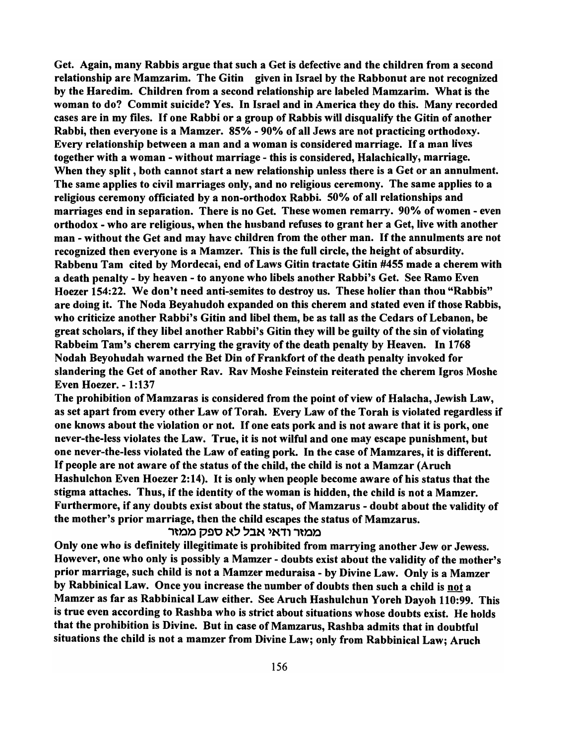Get. Again, many Rabbis argue that such a Get is defective and the children from a second relationship are Mamzarim. The Gitin given in Israel by the Rabbonut are not recognized by the Haredim. Children from a second relationship are labeled Mamzarim. What is the woman to do? Commit suicide? Yes. In Israel and in America they do this. Many recorded cases are in my files. If one Rabbi or a group of Rabbis will disqualify the Gitin of another Rabbi, then everyone is a Mamzer. 85% - 90% of all Jews are not practicing orthodoxy. Every relationship between a man and a woman is considered marriage. If a man lives together with a woman - without marriage - this is considered, Halachically, marriage. When they split, both cannot start a new relationship unless there is a Get or an annulment. The same applies to civil marriages only, and no religious ceremony. The same applies to a religious ceremony officiated by a non-orthodox Rabbi. 50% of all relationships and marriages end in separation. There is no Get. These women remarry. 90% of women - even orthodox - who are religious, when the husband refuses to grant her a Get, live with another man - without the Get and may have children from the other man. If the annulments are not recognized then everyone is a Mamzer. This is the full circle, the height of absurdity. Rabbenu Tam cited by Mordecai, end of Laws Gitin tractate Gitin #455 made a cherem with a death penalty - by heaven - to anyone who libels another Rabbi's Get. See Ramo Even Hoezer 154:22. We don't need anti-semites to destroy us. These holier than thou "Rabbis" are doing it. The Noda Beyahudoh expanded on this cherem and stated even if those Rabbis, who criticize another Rabbi's Gitin and libel them, be as tall as the Cedars of Lebanon, be great scholars, if they libel another Rabbi's Gitin they will be guilty of the sin of violating Rabbeim Tam's cherem carrying the gravity of the death penalty by Heaven. In 1768 Nodah Beyohudah warned the Bet Din of Frankfort of the death penalty invoked for slandering the Get of another Rav. Rav Moshe Feinstein reiterated the cherem Igros Moshe Even Hoezer. - 1:137

The prohibition of Mamzaras is considered from the point of view of Halacha, Jewish Law, as set apart from every other Law of Torah. Every Law of the Torah is violated regardless if one knows about the violation or not. If one eats pork and is not aware that it is pork, one never-the-Iess violates the Law. True, it is not wilful and one may escape punishment, but one never-the-Iess violated the Law of eating pork. In the case of Mamzares, it is different. If people are not aware of the status of the child, the child is not a Mamzar (Aruch Hashulchon Even Hoezer 2:14). It is only when people become aware of his status that the stigma attaches. Thus, if the identity of the woman is hidden, the child is not a Mamzer. Furthermore, if any doubts exist about the status, of Mamzarus - doubt about the validity of the mother's prior marriage, then the child escapes the status of Mamzarus.

# ממזר ודאי אבל לא ספק ממזר

Only one who is definitely illegitimate is prohibited from marrying another Jew or Jewess. However, one who only is possibly a Mamzer - doubts exist about the validity of the mother's prior marriage, such child is not a Mamzer meduraisa - by Divine Law. Only is a Mamzer by Rabbinical Law. Once you increase the number of doubts then such a child is not a Mamzer as far as Rabbinical Law either. See Aruch Hashulchun Yoreh Dayoh 110:99. This is true even according to Rashba who is strict about situations whose doubts exist. He holds that the prohibition is Divine. But in case of Mamzarus, Rashba admits that in doubtful situations the child is not a mamzer from Divine Law; only from Rabbinical Law; Aruch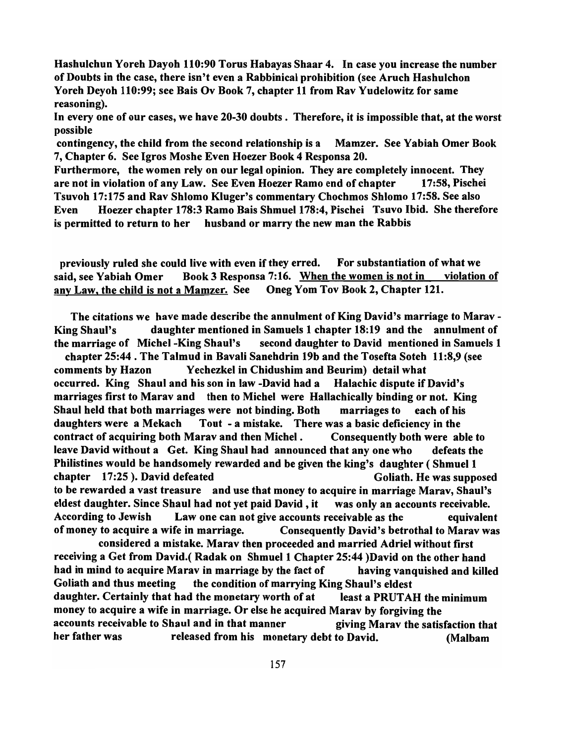Hashulchun Yoreh Dayoh 110:90 Torus Habayas Shaar 4. In case you increase the number of Doubts in the case, there isn't even a Rabbinical prohibition (see Aruch Hashulchon Yoreh Deyoh 110:99; see Bais Ov Book 7, chapter 11 from Rav Yudelowitz for same reasoning).

In every one of our cases, we have 20-30 doubts. Therefore, it is impossible that, at the worst possible

contingency, the child from the second relationship is a Mamzer. See Yabiah Omer Book 7, Chapter 6. See Igros Moshe Even Hoezer Book 4 Responsa 20.

Furthermore, the women rely on our legal opinion. They are completely innocent. They are not in violation of any Law. See Even Hoezer Ramo end of chapter 17:58, Pischei Tsuvoh 17:175 and Rav Shlomo Kluger's commentary Chochmos Shlomo 17:58. See also Even Hoezer chapter 178:3 Ramo Bais Shmuel 178:4, Pischei Tsuvo Ibid. She therefore is permitted to return to her husband or marry the new man the Rabbis

previously ruled she could live with even if they erred. For substantiation of what we said, see Yabiah Omer Book 3 Responsa 7:16. When the women is not in violation of any Law, the child is not a Mamzer. See Oneg Yom Tov Book 2, Chapter 121.

The citations we have made describe the annulment of King David's marriage to Marav - King Shaul's daughter mentioned in Samuels 1 chapter 18:19 and the annulment of the marriage of Michel -King Shaul's second daughter to David mentioned in Samuels 1

chapter 25:44 . The Talmud in Bavali Sanehdrin 19b and the Tosefta Soteh 11 :8,9 (see comments by Hazon Yechezkel in Chidushim and Beurim) detail what occurred. King Shaul and his son in law -David had a Halachic dispute if David's marriages first to Marav and then to Michel were Hallachically binding or not. King Shaul held that both marriages were not binding. Both marriages to each of his daughters were a Mekach Tout - a mistake. There was a basic deficiency in the contract of acquiring both Marav and then Michel. Consequently both were able to leave David without a Get. King Shaul had announced that anyone who defeats the Philistines would be handsomely rewarded and be given the king's daughter ( Shmuel 1 chapter 17:25). David defeated Goliath. He was supposed to be rewarded a vast treasure and use that money to acquire in marriage Marav, Shaul's eldest daughter. Since Shaul had not yet paid David, it was only an accounts receivable. According to Jewish Law one can not give accounts receivable as the equivalent of money to acquire a wife in marriage. Consequently David's betrothal to Marav was

considered a mistake. Marav then proceeded and married Adriel without first receiving a Get from David.( Radak on Shmuel 1 Chapter 25:44 )David on the other hand had in mind to acquire Marav in marriage by the fact of having vanquished and killed Goliath and thus meeting the condition of marrying King Shaul's eldest daughter. Certainly that had the monetary worth of at least a PRUTAH the minimum money to acquire a wife in marriage. Or else he acquired Marav by forgiving the accounts receivable to Shaul and in that manner giving Marav the satisfaction that her father was released from his monetary debt to David. (Malbam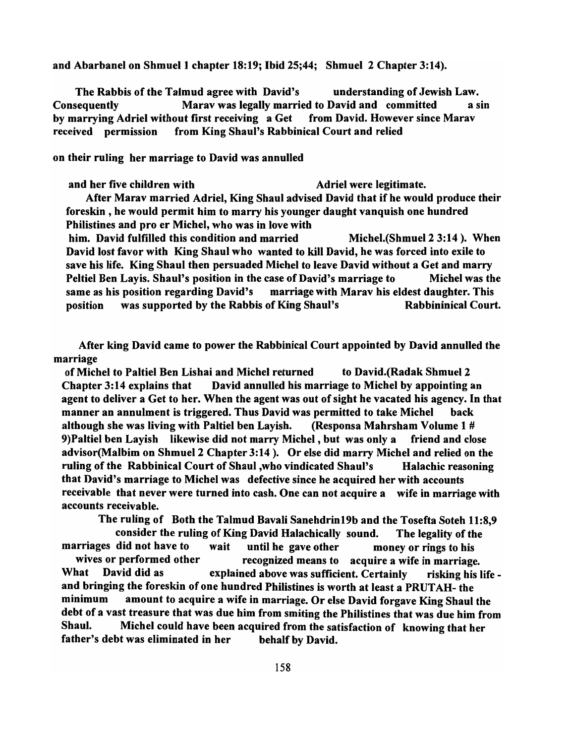and Abarbanel on Shmuel 1 chapter 18:19; Ibid 25;44; Shmuel 2 Chapter 3:14).

The Rabbis of the Talmud agree with David's understanding of Jewish Law. Consequently Marav was legally married to David and committed a sin by marrying Adriel without first receiving a Get from David. However since Marav received permission from King Shaul's Rabbinical Court and relied

on their ruling her marriage to David was annulled

and her five children with Adriel were legitimate. After Marav married Adriel, King Shaul advised David that if he would produce their foreskin, he would permit him to marry his younger daught vanquish one hundred Philistines and pro er Michel, who was in love with him. David fulfilled this condition and married Michel.(Shmuel 2 3:14). When David lost favor with King Shaul who wanted to kill David, he was forced into exile to save his life. King Shaul then persuaded Michel to leave David without a Get and marry Peltiel Ben Layis. Shaul's position in the case of David's marriage to Michel was the same as his position regarding David's marriage with Marav his eldest daughter. This position was supported by the Rabbis of King Shaul's Rabbininical Court.

After king David came to power the Rabbinical Court appointed by David annulled the marriage

of Michel to Paltiel Ben Lishai and Michel returned to David.(Radak Shmuel 2 Chapter 3:14 explains that David annulled his marriage to Michel by appointing an agent to deliver a Get to her. When the agent was out of sight he vacated his agency. In that manner an annulment is triggered. Thus David was permitted to take Michel back although she was living with Paltiel ben Layish. (Responsa Mahrsham Volume 1 # 9)Paltiel ben Layish likewise did not marry Michel, but was only a friend and close advisor(Malbim on Shmuel 2 Chapter 3:14). Or else did marry Michel and relied on the ruling of the Rabbinical Court of Shaul ,who vindicated Shaul's Halachic reasoning that David's marriage to Michel was defective since he acquired her with accounts receivable that never were turned into cash. One can not acquire a wife in marriage with accounts receivable.

The ruling of Both the Talmud Bavali Sanehdrin 19b and the Tosefta Soteh 11:8,9 consider the ruling of King David Halachically sound. The legality of the marriages did not have to wait until he gave other money or rings to his wives or performed other recognized means to acquire a wife in marriage. What David did as explained above was sufficient. Certainly risking his life and bringing the foreskin of one hundred Philistines is worth at least a PRUTAH- the minimum amount to acquire a wife in marriage. Or else David forgave King Shaul the debt of a vast treasure that was due him from smiting the Philistines that was due him from Shaul. Michel could have been acquired from the satisfaction of knowing that her father's debt was eliminated in her behalf by David.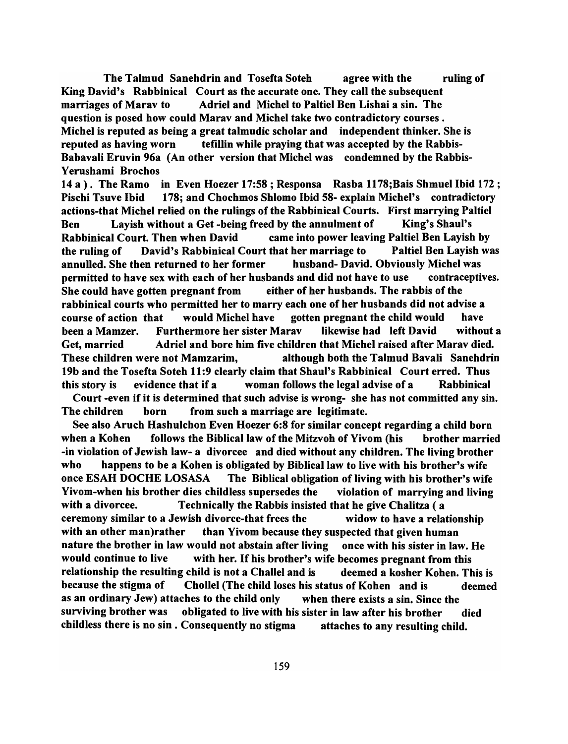The Talmud Sanehdrin and Tosefta Soteh agree with the ruling of King David's Rabbinical Court as the accurate one. They call the subsequent marriages of Marav to Adriel and Michel to Paltiel Ben Lishai a sin. The question is posed how could Marav and Michel take two contradictory courses. Michel is reputed as being a great talmudic scholar and independent thinker. She is reputed as having worn tefillin while praying that was accepted by the Rabbis-Babavali Eruvin 96a (An other version that Michel was condemned by the Rabbis-Yerushami Brochos

14 a). The Ramo in Even Hoezer 17:58; Responsa Rasba 1178;Bais Shmuel Ibid 172 ; Pischi Tsuve Ibid 178; and Chochmos Shlomo Ibid 58- explain Michel's contradictory actions-that Michel relied on the rulings of the Rabbinical Courts. First marrying Paltiel Ben Layish without a Get -being freed by the annulment of King's Shaul's Rabbinical Court. Then when David came into power leaving Paltiel Ben Layish by the ruling of David's Rabbinical Court that her marriage to Paltiel Ben Layish was annulled. She then returned to her former husband- David. Obviously Michel was permitted to have sex with each of her husbands and did not have to use contraceptives. She could have gotten pregnant from either of her husbands. The rabbis of the rabbinical courts who permitted her to marry each one of her husbands did not advise a course of action that would Michel have gotten pregnant the child would have been a Mamzer. Furthermore her sister Marav likewise had left David without a Get, married Adriel and bore him five children that Michel raised after Marav died. These children were not Mamzarim, although both the Talmud Bavali Sanehdrin 19b and the Tosefta Soteh 11:9 clearly claim that Shaul's Rabbinical Court erred. Thus this story is evidence that if a woman follows the legal advise of a Rabbinical Court -even if it is determined that such advise is wrong- she has not committed any sin.

See also Aruch Hashulchon Even Hoezer 6:8 for similar concept regarding a child born when a Kohen follows the Biblical law of the Mitzvoh of Yivom (his brother married -in violation of Jewish law- a divorcee and died without any children. The living brother who happens to be a Kohen is obligated by Biblical law to live with his brother's wife once ESAH DOCHE LOSASA The Biblical obligation of living with his brother's wife Yivom-when his brother dies childless supersedes the violation of marrying and living with a divorcee. Technically the Rabbis insisted that he give Chalitza (a ceremony similar to a Jewish divorce-that frees the widow to have a relationship with an other man)rather than Yivom because they suspected that given human nature the brother in law would not abstain after living once with his sister in law. He would continue to live with her. If his brother's wife becomes pregnant from this relationship the resulting child is not a Challel and is deemed a kosher Kohen. This is because the stigma of Chollel (The child loses his status of Kohen and is deemed as an ordinary Jew) attaches to the child only when there exists a sin. Since the surviving brother was obligated to live with his sister in law after his brother died childless there is no sin. Consequently no stigma attaches to any resulting child.

The children born from such a marriage are legitimate.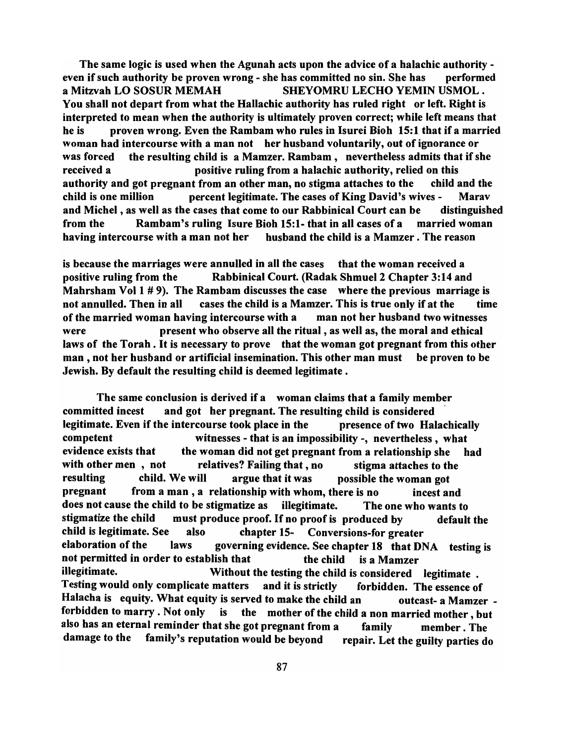The same logic is used when the Agunah acts upon the advice of a halachic authority even if such authority be proven wrong - she has committed no sin. She has performed a Mitzvah LO SOSUR MEMAH SHEYOMRU LECHO YEMIN USMOL. You shall not depart from what the Hallachic authority has ruled right or left. Right is interpreted to mean when the authority is ultimately proven correct; while left means that he is proven wrong. Even the Rambam who rules in Isurei Bioh 15:1 that if a married woman had intercourse with a man not her husband voluntarily, out of ignorance or was forced the resulting child is a Mamzer. Rambam, nevertheless admits that if she received a positive ruling from a halachic authority, relied on this authority and got pregnant from an other man, no stigma attaches to the child and the child is one million percent legitimate. The cases of King David's wives - Marav and Michel, as well as the cases that come to our Rabbinical Court can be distinguished from the Rambam's ruling Isure Bioh 15:1- that in all cases of a married woman having intercourse with a man not her husband the child is a Mamzer. The reason

is because the marriages were annulled in all the cases that the woman received a positive ruling from the Rabbinical Court. (Radak Shmuel 2 Chapter 3:14 and Mahrsham Vol 1 # 9). The Rambam discusses the case where the previous marriage is not annulled. Then in all cases the child is a Mamzer. This is true only if at the time of the married woman having intercourse with a man not her husband two witnesses were present who observe all the ritual, as well as, the moral and ethical laws of the Torah. It is necessary to prove that the woman got pregnant from this other man, not her husband or artificial insemination. This other man must be proven to be Jewish. By default the resulting child is deemed legitimate.

The same conclusion is derived if a woman claims that a family member committed incest and got her pregnant. The resulting child is considered . legitimate. Even if the intercourse took place in the presence of two Halachically competent witnesses - that is an impossibility -, nevertheless, what evidence exists that the woman did not get pregnant from a relationship she had with other men, not relatives? Failing that, no stigma attaches to the resulting child. We will argue that it was possible the woman got pregnant from a man, a relationship with whom, there is no incest and does not cause the child to be stigmatize as illegitimate. The one who wants to stigmatize the child must produce proof. If no proof is produced by default the child is legitimate. See also chapter 15- Conversions-for greater elaboration of the laws governing evidence. See chapter 18 that DNA testing is not permitted in order to establish that the child is a Mamzer illegitimate. Without the testing the child is considered legitimate. Testing would only complicate matters and it is strictly forbidden. The essence of Halacha is equity. What equity is served to make the child an outcast- a Mamzer forbidden to marry. Not only is the mother of the child a non married mother, but also has an eternal reminder that she got pregnant from a family member. The damage to the family's reputation would be beyond repair. Let the guilty parties do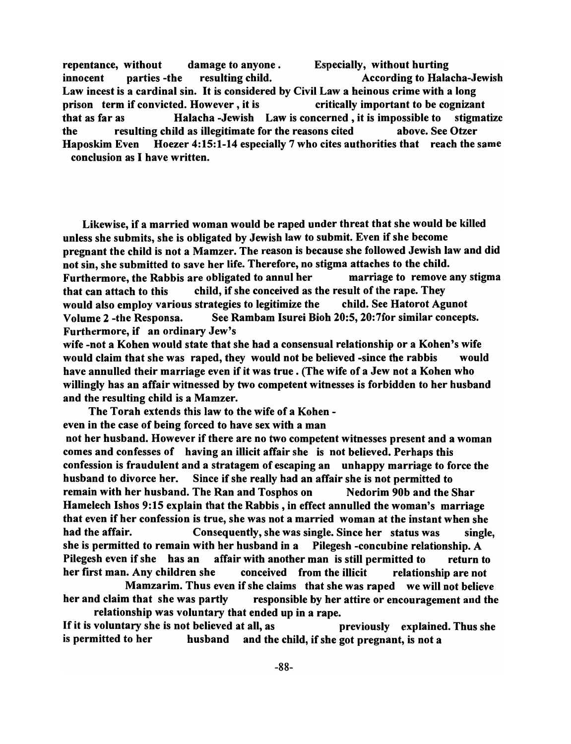repentance, without damage to anyone . Especially, without hurting innocent parties -the resulting child. According to Halacha-Jewish Law incest is a cardinal sin. It is considered by Civil Law a heinous crime with a long prison term if convicted. However, it is critically important to be cognizant that as far as Halacha -Jewish Law is concerned, it is impossible to stigmatize the resulting child as illegitimate for the reasons cited above. See Otzer Haposkim Even Hoezer 4:15:1-14 especially 7 who cites authorities that reach the same conclusion as I have written.

Likewise, if a married woman would be raped under threat that she would be killed unless she submits, she is obligated by Jewish law to submit. Even if she become pregnant the child is not a Mamzer. The reason is because she followed Jewish law and did not sin, she submitted to save her life. Therefore, no stigma attaches to the child. Furthermore, the Rabbis are obligated to annul her marriage to remove any stigma that can attach to this child, if she conceived as the result of the rape. They would also employ various strategies to legitimize the child. See Hatorot Agunot Volume 2 -the Responsa. See Rambam Isurei Bioh 20:5, 20:7for similar concepts. Furthermore, if an ordinary Jew's

wife -not a Kohen would state that she had a consensual relationship or a Kohen's wife would claim that she was raped, they would not be believed -since the rabbis would have annulled their marriage even if it was true. (The wife of a Jew not a Kohen who willingly has an affair witnessed by two competent witnesses is forbidden to her husband and the resulting child is a Mamzer.

The Torah extends this law to the wife of a Kohen even in the case of being forced to have sex with a man not her husband. However if there are no two competent witnesses present and a woman comes and confesses of having an illicit affair she is not believed. Perhaps this confession is fraudulent and a stratagem of escaping an unhappy marriage to force the husband to divorce her. Since if she really had an affair she is not permitted to remain with her husband. The Ran and Tosphos on Nedorim 90b and the Shar Hamelech Ishos 9:15 explain that the Rabbis, in effect annulled the woman's marriage that even if her confession is true, she was not a married woman at the instant when she had the affair. Consequently, she was single. Since her status was single, she is permitted to remain with her husband in a Pilegesh -concubine relationship. A Pilegesh even if she has an affair with another man is still permitted to return to her first man. Any children she conceived from the illicit relationship are not

Mamzarim. Thus even if she claims that she was raped we will not believe her and claim that she was partly responsible by her attire or encouragement and the relationship was voluntary that ended up in a rape.

If it is voluntary she is not believed at all, as previously explained. Thus she is permitted to her husband and the child, if she got pregnant, is not a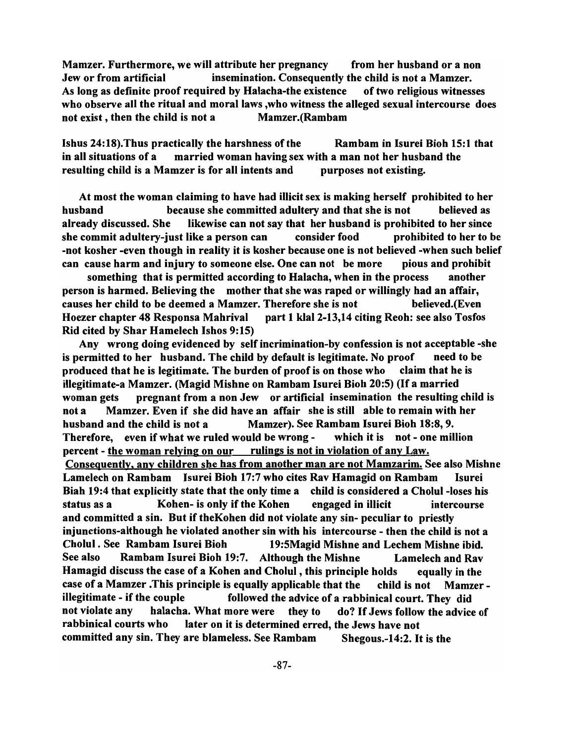Mamzer. Furthermore, we will attribute her pregnancy from her husband or a non Jew or from artificial insemination. Consequently the child is not a Mamzer. As long as definite proof required by Halacha-the existence of two religious witnesses who observe all the ritual and moral laws ,who witness the alleged sexual intercourse does not exist, then the child is not a Mamzer.(Rambam

Ishus 24:18).Thus practically the harshness of the Rambam in Isurei Bioh 15:1 that in all situations of a married woman having sex with a man not her husband the resulting child is a Mamzer is for all intents and purposes not existing.

At most the woman claiming to have had illicit sex is making herself prohibited to her husband because she committed adultery and that she is not believed as already discussed. She likewise can not say that her husband is prohibited to her since she commit adultery-just like a person can consider food prohibited to her to be -not kosher -even though in reality it is kosher because one is not believed -when such belief can cause harm and injury to someone else. One can not be more pious and prohibit

something that is permitted according to Halacha, when in the process another person is harmed. Believing the mother that she was raped or willingly had an affair, causes her child to be deemed a Mamzer. Therefore she is not believed.(Even Hoezer chapter 48 Responsa Mahrival part 1 k1aI2-13,14 citing Reoh: see also Tosfos Rid cited by Shar Hamelech Ishos 9:15)

Any wrong doing evidenced by self incrimination-by confession is not acceptable -she is permitted to her husband. The child by default is legitimate. No proof need to be produced that he is legitimate. The burden of proof is on those who claim that he is illegitimate-a Mamzer. (Magid Mishne on Rambam Isurei Bioh 20:5) (If a married woman gets pregnant from a non Jew or artificial insemination the resulting child is not a Mamzer. Even if she did have an affair she is still able to remain with her husband and the child is not a Mamzer). See Rambam Isurei Bioh 18:8, 9. Therefore, even if what we ruled would be wrong - which it is not - one million percent - the woman relying on our rulings is not in violation of any Law. Consequently, any children she has from another man are not Mamzarim. See also Mishne Lamelech on Rambam Isurei Bioh 17:7 who cites Rav Hamagid on Rambam Isurei Biah 19:4 that explicitly state that the only time a child is considered a Cholul -loses his status as a Kohen- is only if the Kohen engaged in illicit intercourse and committed a sin. But if theKohen did not violate any sin- peculiar to priestly iniunctions-although he violated another sin with his intercourse - then the child is not a Cholul. See Rambam Isurei Bioh 19:5Magid Mishne and Lechem Mishne ibid. See also Rambam Isurei Bioh 19:7. Although the Mishne Lamelech and Rav Hamagid discuss the case of a Kohen and Cholul , this principle holds equally in the case of a Mamzer .This principle is equally applicable that the child is not Mamzer illegitimate - if the couple followed the advice of a rabbinical court. They did not violate any halacha. What more were they to do? If Jews follow the advice of rabbinical courts who later on it is determined erred, the Jews have not committed any sin. They are blameless. See Rambam Shegous.-14:2. It is the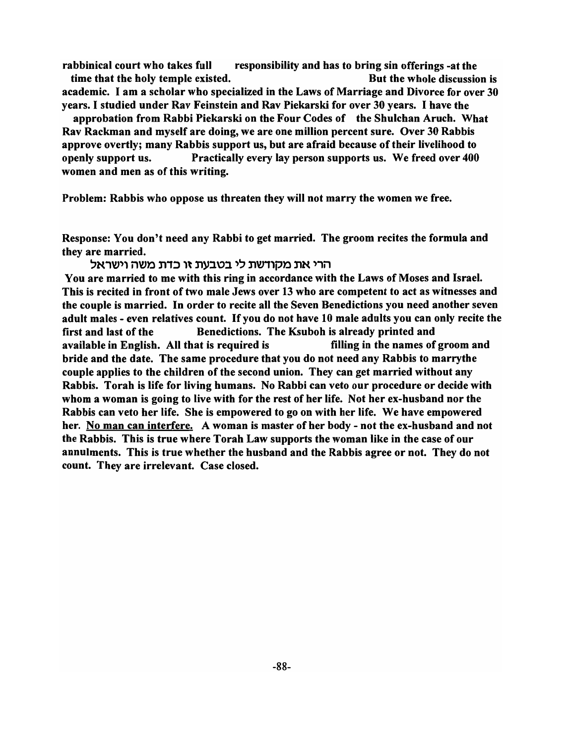rabbinical court who takes full responsibility and has to bring sin offerings -at the time that the holy temple existed. The same state of the whole discussion is academic. I am a scholar who specialized in the Laws of Marriage and Divorce for over 30 years. I studied under Rav Feinstein and Rav Piekarski for over 30 years. I have the

approbation from Rabbi Piekarski on the Four Codes of the Shulchan Aruch. What Rav Rackman and myself are doing, we are one million percent sure. Over 30 Rabbis approve overtly; many Rabbis support us, but are afraid because of their livelihood to openly support us. Practically every lay person supports us. We freed over 400 women and men as of this writing.

Problem: Rabbis who oppose us threaten they will not marry the women we free.

Response: You don't need any Rabbi to get married. The groom recites the formula and they are married.

## הרי את מקודשת לי בטבעת זו כדת משה וישראל

You are married to me with this ring in accordance with the Laws of Moses and Israel. This is recited in front of two male Jews over 13 who are competent to act as witnesses and the couple is married. In order to recite all the Seven Benedictions you need another seven adult males - even relatives count. If you do not have 10 male adults you can only recite the first and last of the Benedictions. The Ksuboh is already printed and available in English. All that is required is filling in the names of groom and bride and the date. The same procedure that you do not need any Rabbis to marry the couple applies to the children of the second union. They can get married without any Rabbis. Torah is life for living humans. No Rabbi can veto our procedure or decide with whom a woman is going to live with for the rest of her life. Not her ex-husband nor the Rabbis can veto her life. She is empowered to go on with her life. We have empowered her. No man can interfere. A woman is master of her body - not the ex-husband and not the Rabbis. This is true where Torah Law supports the woman like in the case of our annulments. This is true whether the husband and the Rabbis agree or not. They do not count. They are irrelevant. Case closed.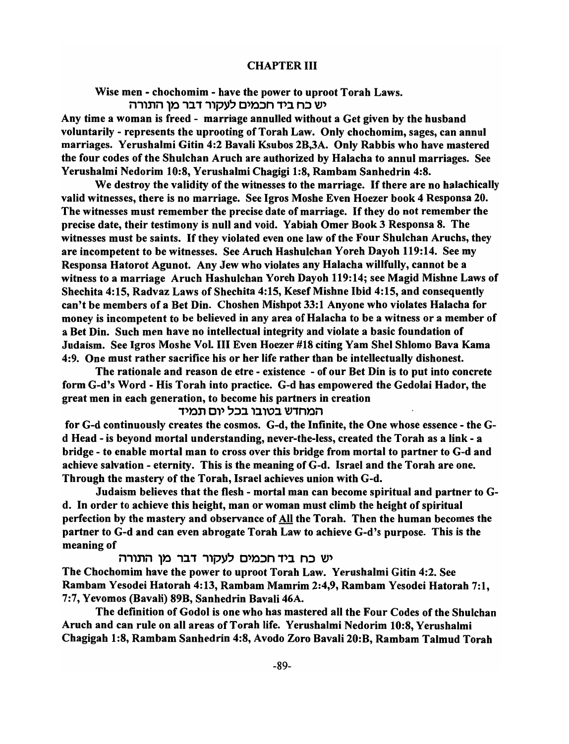## CHAPTER III

Wise men - chochomim - have the power to uproot Torah Laws. יש כח ביד חכמים לעקור דבר מן התורה

Any time a woman is freed - marriage annulled without a Get given by the husband voluntarily - represents the uprooting of Torah Law. Only chochomim, sages, can annul marriages. Yerushalmi Gitin 4:2 Bavali Ksubos 2B,3A. Only Rabbis who have mastered the four codes of the Shulchan Aruch are authorized by Halacha to annul marriages. See Yerushalmi Nedorim 10:8, Yerushalmi Chagigi 1:8, Rambam Sanhedrin 4:8.

We destroy the validity of the witnesses to the marriage. If there are no halachically valid witnesses, there is no marriage. See Igros Moshe Even Hoezer book 4 Responsa 20. The witnesses must remember the precise date of marriage. If they do not remember the precise date, their testimony is null and void. Yabiah Omer Book 3 Responsa 8. The witnesses must be saints. If they violated even one law of the Four Shulchan Aruchs, they are incompetent to be witnesses. See Aruch Hashulchan Yoreh Dayoh 119:14. See my Responsa Hatorot Agunot. Any Jew who violates any Halacha willfully, cannot be a witness to a marriage Aruch Hashulchan Yoreh Dayoh 119:14; see Magid Mishne Laws of Shechita 4:15, Radvaz Laws of Shechita 4:15, Kesef Mishne Ibid 4:15, and consequently can't be members of a Bet Din. Choshen Mishpot 33:1 Anyone who violates Halacha for money is incompetent to be believed in any area of Halacha to be a witness or a member of a Bet Din. Such men have no intellectual integrity and violate a basic foundation of Judaism. See Igros Moshe Vol. III Even Hoezer #18 citing Yam Shel Shlomo Bava Kama 4:9. One must rather sacrifice his or her life rather than be intellectually dishonest.

The rationale and reason de etre - existence - of our Bet Din is to put into concrete form G-d's Word - His Torah into practice. G-d has empowered the Gedolai Hador, the great men in each generation, to become his partners in creation

# המחדש בטובו בכל יום תמיד

for G-d continuously creates the cosmos. G-d, the Infinite, the One whose essence - the Gd Head - is beyond mortal understanding, never-the-Iess, created the Torah as a link - a bridge - to enable mortal man to cross over this bridge from mortal to partner to G-d and achieve salvation - eternity. This is the meaning of G-d. Israel and the Torah are one. Through the mastery of the Torah, Israel achieves union with G-d.

Judaism believes that the flesh - mortal man can become spiritual and partner to Gd. In order to achieve this height, man or woman must climb the height of spiritual perfection by the mastery and observance of All the Torah. Then the human becomes the partner to G-d and can even abrogate Torah Law to achieve G-d's purpose. This is the meaning of

יש כח ביד חכמים לעקור דבר מן התורה

The Chochomim have the power to uproot Torah Law. Yerushalmi Gitin 4:2. See Rambam Yesodei Hatorah 4:13, Rambam Mamrim 2:4,9, Rambam Yesodei Hatorah 7:1, 7:7, Yevomos (Bavali) 89B, Sanhedrin Bavali 46A.

The definition of Godol is one who has mastered all the Four Codes of the Shulchan Aruch and can rule on all areas of Torah life. Yerushalmi Nedorim 10:8, Yerushalmi Chagigab 1:8, Rambam Sanhedrin 4:8, Avodo Zoro Bavali 20:B, Rambam Talmud Torah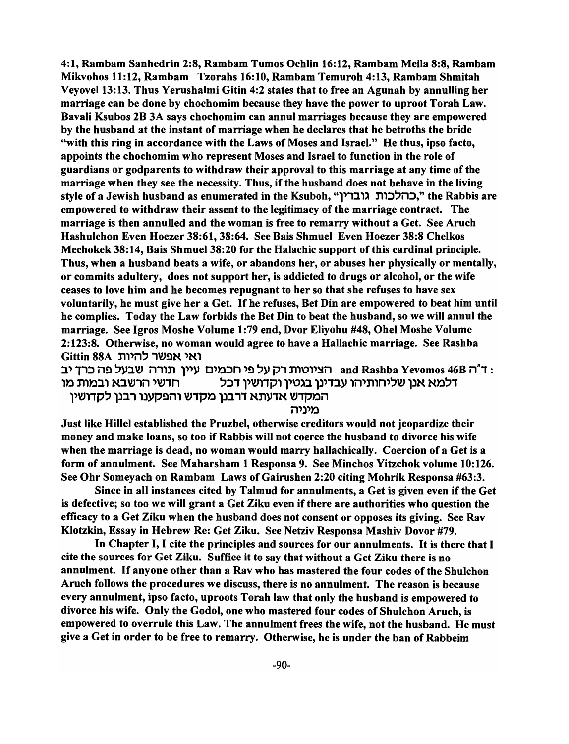4:1, Rambam Sanhedrin 2:8, Rambam Tumos Ochlin 16:12, Rambam Meila 8:8, Rambam Mikvohos 11:12, Rambam Tzorahs 16:10, Rambam Temuroh 4:13, Rambam Shmitah Veyovel13: 13. Thus Yerushalmi Gitin 4:2 states that to free an Agunah by annulling her marriage can be done by chochomim because they have the power to uproot Torah Law. Bavali Ksubos 2B 3A says chochomim can annul marriages because they are empowered by the husband at the instant of marriage when he declares that he betroths the bride "with this ring in accordance with the Laws of Moses and Israel." He thus, ipso facto, appoints the chochomim who represent Moses and Israel to function in the role of guardians or godparents to withdraw their approval to this marriage at any time of the marriage when they see the necessity. Thus, if the husband does not behave in the living style of a Jewish husband as enumerated in the Ksuboh, "כהלכות גוברין," the Rabbis are empowered to withdraw their assent to the legitimacy of the marriage contract. The marriage is then annulled and the woman is free to remarry without a Get. See Aruch Hashulchon Even Hoezer 38:61, 38:64. See Bais Shmuel Even Hoezer 38:8 Chelkos Mechokek 38:14, Bais Shmuel 38:20 for the Halachic support of this cardinal principle. Thus, when a husband beats a wife, or abandons her, or abuses her physically or mentally, or commits adultery, does not support her, is addicted to drugs or alcohol, or the wife ceases to love him and he becomes repugnant to her so that she refuses to have sex voluntarily, he must give her a Get. If he refuses, Bet Din are empowered to beat him until he complies. Today the Law forbids the Bet Din to beat the husband, so we will annul the marriage. See Igros Moshe Volume 1:79 end, Dvor Eliyohu #48, Ohel Moshe Volume 2: 123:8. Otherwise, no woman would agree to have a Hallachic marriage. See Rashba Gittin 88A ואי אפשר להיות

: ד"ה and Rashba Yevomos 46B הציוטות רק על פי חכמים עיין תורה שבעל פה כרך יב דלמא אנן שליחותיהו עבדינן בגטין וקדושין דכל מולים ולשבא ובמות מו המקדש אדעתא דרבנן מקדש והפקענו רבנן לקדושין

מיניה

Just like Hillel established the Pruzbel, otherwise creditors would not jeopardize their money and make loans, so too if Rabbis will not coerce the husband to divorce his wife when the marriage is dead, no woman would marry hallachically. Coercion of a Get is a form of annulment. See Maharsham 1 Responsa 9. See Minchos Yitzchok volume 10: 126. See Ohr Someyach on Rambam Laws of Gairushen 2:20 citing Mohrik Responsa #63:3.

Since in all instances cited by Talmud for annulments, a Get is given even if the Get is defective; so too we will grant a Get Ziku even if there are authorities who question the efficacy to a Get Ziku when the husband does not consent or opposes its giving. See Rav Klotzkin, Essay in Hebrew Re: Get Ziku. See Netziv Responsa Mashiv Dovor #79.

In Chapter I, I cite the principles and sources for our annulments. It is there that I cite the sources for Get Ziku. Suffice it to say that without a Get Ziku there is no annulment. If anyone other than a Rav who has mastered the four codes of the Shulchon Aruch follows the procedures we discuss, there is no annulment. The reason is because every annulment, ipso facto, uproots Torah law that only the husband is empowered to divorce his wife. Only the Godol, one who mastered four codes of Shulchon Aruch, is empowered to overrule this Law. The annulment frees the wife, not the husband. He must give a Get in order to be free to remarry. Otherwise, he is under the ban of Rabbeim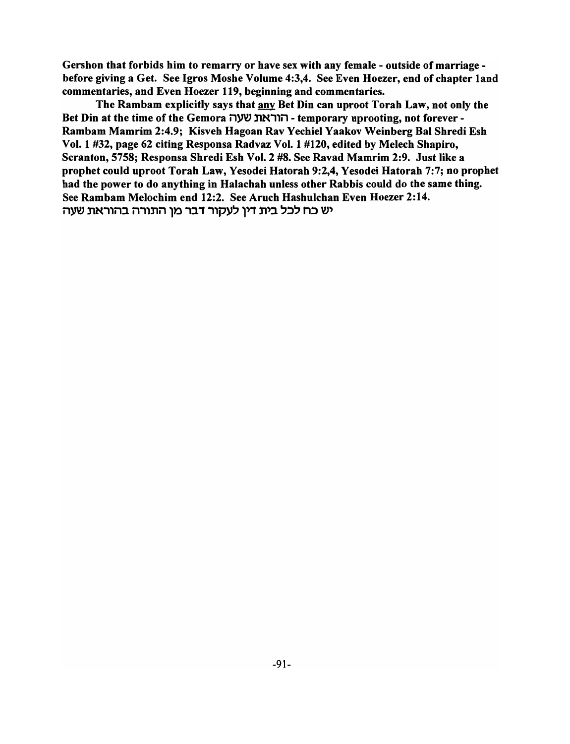Gershon that forbids him to remarry or have sex with any female - outside of marriage before giving a Get. See Igros Moshe Volume 4:3,4. See Even Hoezer, end of chapter land commentaries, and Even Hoezer 119, beginning and commentaries.

The Rambam explicitly says that any Bet Din can uproot Torah Law, not only the Bet Din at the time of the Gemora - הוראת שעה -temporary uprooting, not forever -Rambam Mamrim 2:4.9; Kisveh Hagoan Rav Yechiel Yaakov Weinberg Bal Shredi Esh Vol. 1 #32, page 62 citing Responsa Radvaz Vol. 1 #120, edited by Melech Shapiro, Scranton, 5758; Responsa Shredi Esh Vol. 2 #8. See Ravad Mamrim 2:9. Just like a prophet could uproot Torah Law, Yesodei Hatorah 9:2,4, Yesodei Hatorah 7:7; no prophet had the power to do anything in Halachah unless other Rabbis could do the same thing. See Rambam Melochim end 12:2. See Aruch Hashulchan Even Hoezer 2:14. יש כח לכל בית דין לעקור דבר מן התורה בהוראת שעה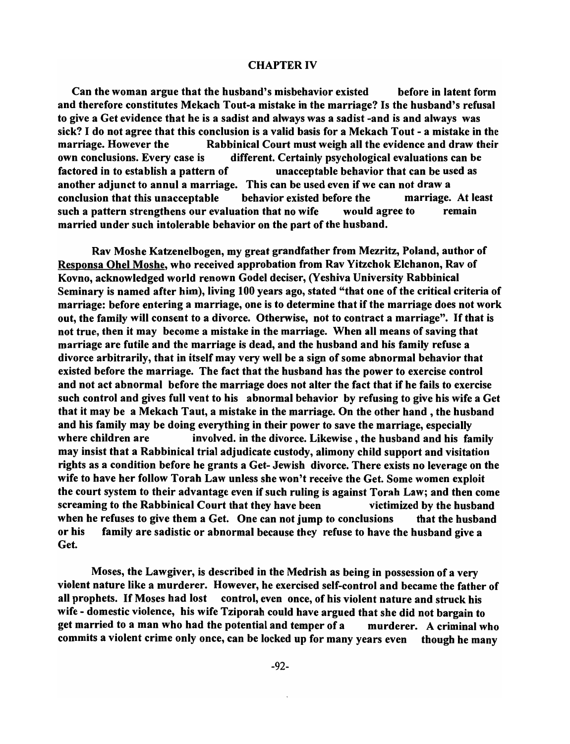### CHAPTER IV

Can the woman argue that the husband's misbehavior existed before in latent form and therefore constitutes Mekach Tout-a mistake in the marriage? Is the husband's refusal to give a Get evidence that he is a sadist and always was a sadist -and is and always was sick? I do not agree that this conclusion is a valid basis for a Mekach Tout - a mistake in the marriage. However the Rabbinical Court must weigh all the evidence and draw their own conclusions. Every case is different. Certainly psychological evaluations can be factored in to establish a pattern of unacceptable behavior that can be used as another adjunct to annul a marriage. This can be used even if we can not draw a conclusion that this unacceptable behavior existed before the marriage. At least such a pattern strengthens our evaluation that no wife would agree to remain married under such intolerable behavior on the part of the husband.

Rav Moshe Katzenelbogen, my great grandfather from Mezritz, Poland, author of Responsa Ohel Moshe, who received approbation from Rav Yitzchok Elchanon, Rav of Kovno, acknowledged world renown Godel deciser, (Yeshiva University Rabbinical Seminary is named after him), living 100 years ago, stated "that one of the critical criteria of marriage: before entering a marriage, one is to determine that if the marriage does not work out, the family will consent to a divorce. Otherwise, not to contract a marriage". If that is not true, then it may become a mistake in the marriage. When all means of saving that marriage are futile and the marriage is dead, and the husband and his family refuse a divorce arbitrarily, that in itself may very well be a sign of some abnormal behavior that existed before the marriage. The fact that the husband has the power to exercise control and not act abnormal before the marriage does not alter the fact that if he fails to exercise such control and gives full vent to his abnormal behavior by refusing to give his wife a Get that it may be a Mekach Taut, a mistake in the marriage. On the other hand, the husband and his family may be doing everything in their power to save the marriage, especially where children are involved. in the divorce. Likewise, the husband and his family may insist that a Rabbinical trial adjudicate custody, alimony child support and visitation rights as a condition before he grants a Get- Jewish divorce. There exists no leverage on the wife to have her follow Torah Law unless she won't receive the Get. Some women exploit the court system to their advantage even if such ruling is against Torah Law; and then come screaming to the Rabbinical Court that they have been victimized by the husband when he refuses to give them a Get. One can not jump to conclusions that the husband or his family are sadistic or abnormal because they refuse to have the husband give a Get.

Moses, the Lawgiver, is described in the Medrish as being in possession of a very violent nature like a murderer. However, he exercised self-control and became the father of all prophets. If Moses had lost control, even once, of his violent nature and struck his wife - domestic violence, his wife Tziporah could have argued that she did not bargain to get married to a man who had the potential and temper of a murderer. A criminal who commits a violent crime only once, can be locked up for many years even though he many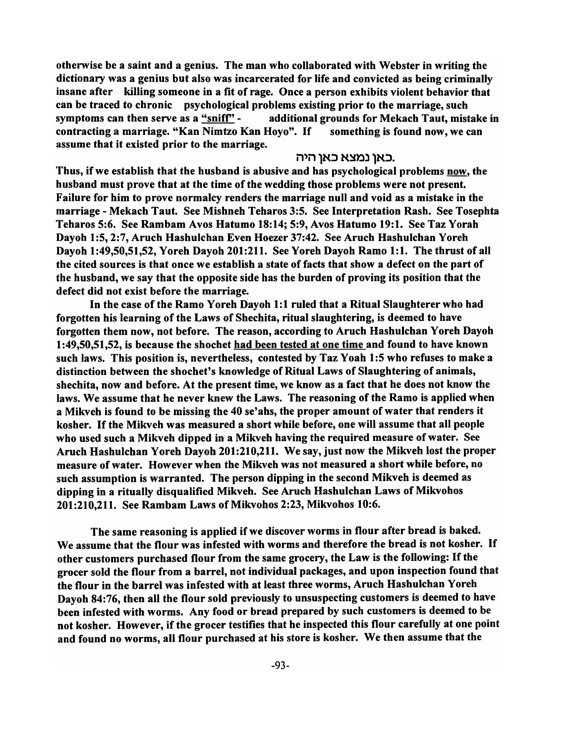otherwise be a saint and a genius. The man who collaborated with Webster in writing the dictionary was a genius but also was incarcerated for life and convicted as being criminally insane after killing someone in a fit of rage. Once a person exhibits violent behavior that can be traced to chronic psychological problems existing prior to the marriage, such symptoms can then serve as a "sniff" -  $\qquad$  additional grounds for Mekach Taut, mistake in contracting a marriage. "Kan Nimtzo Kan Hovo". If something is found now, we can assume that it existed prior to the marriage.

## באו נמצא כאו היה.

Thus, if we establish that the husband is abusive and has psychological problems now, the husband must prove that at the time of the wedding those problems were not present. Failure for him to prove normalcy renders the marriage null and void as a mistake in the marriage - Mekach Taut. See Mishneh Teharos 3:5. See Interpretation Rash. See Tosephta Teharos 5:6. See Rambam Avos Hatumo 18:14; 5:9, Avos Hatumo 19:1. See Taz Yorah Dayoh 1:5,2:7, Aruch Hashulchan Even Hoezer 37:42. See Aruch Hashulchan Yoreh Dayoh 1:49,50,51,52, Yoreh Dayoh 201:211. See Yoreh Dayoh Ramo 1:1. The thrust of all the cited sources is that once we establish a state of facts that show a defect on the part of the husband, we say that the opposite side has the burden of proving its position that the defect did not exist before the marriage.

In the case of the Ramo Yoreh Dayoh 1:1 ruled that a Ritual Slaughterer who had forgotten his learning of the Laws of Shechita, ritual slaughtering, is deemed to have forgotten them now, not before. The reason, according to Aruch Hashulchan Yoreh Dayoh 1 :49,50,51,52, is because the shochet had been tested at one time and found to have known such laws. This position is, nevertheless, contested by Taz Yoah 1:5 who refuses to make a distinction between the shochet's knowledge of Ritual Laws of Slaughtering of animals, shechita, now and before. At the present time, we know as a fact that he does not know the laws. We assume that he never knew the Laws. The reasoning of the Ramo is applied when a Mikveh is found to be missing the 40 se'ahs, the proper amount of water that renders it kosher. If the Mikveh was measured a short while before, one will assume that all people who used such a Mikveh dipped in a Mikveh having the required measure of water. See Aruch Hashulchan Yoreh Dayoh 201:210,211. We say, just now the Mikveh lost the proper measure of water. However when the Mikveh was not measured a short while before, no such assumption is warranted. The person dipping in the second Mikveh is deemed as dipping in a ritually disqualified Mikveh. See Aruch Hashulchan Laws of Mikvohos 201 :210,211. See Rambam Laws of Mikvohos 2:23, Mikvohos 10:6.

The same reasoning is applied if we discover worms in flour after bread is baked. We assume that the flour was infested with worms and therefore the bread is not kosher. If other customers purchased flour from the same grocery, the Law is the following: If the grocer sold the flour from a barrel, not individual packages, and upon inspection found that the flour in the barrel was infested with at least three worms, Aruch Hashulchan Yoreh Dayoh 84:76, then all the flour sold previously to unsuspecting customers is deemed to have been infested with worms. Any food or bread prepared by such customers is deemed to be not kosher. However, if the grocer testifies that he inspected this flour carefully at one point and found no worms, all flour purchased at his store is kosher. We then assume that the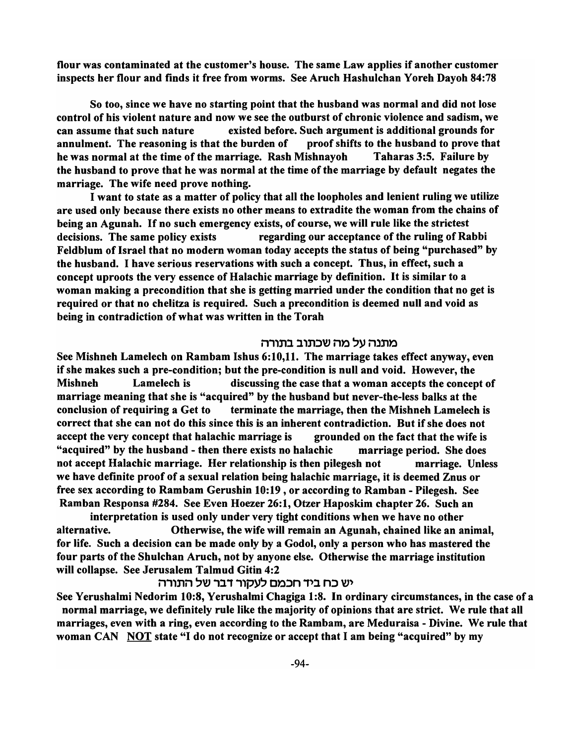flour was contaminated at the customer's house. The same Law applies if another customer inspects her flour and finds it free from worms. See Aruch Hashulchan Yoreh Dayoh 84:78

So too, since we have no starting point that the husband was normal and did not lose control of his violent nature and now we see the outburst of chronic violence and sadism, we can assume that such nature existed before. Such argument is additional grounds for annulment. The reasoning is that the burden of proof shifts to the husband to prove that he was normal at the time of the marriage. Rash Mishnayoh Taharas 3:5. Failure by the husband to prove that he was normal at the time of the marriage by default negates the marriage. The wife need prove nothing.

I want to state as a matter of policy that all the loopholes and lenient ruling we utilize are used only because there exists no other means to extradite the woman from the chains of being an Agunah. If no such emergency exists, of course, we will rule like the strictest decisions. The same policy exists regarding our acceptance of the ruling of Rabbi Feldblum of Israel that no modern woman today accepts the status of being "purchased" by the husband. I have serious reservations with such a concept. Thus, in effect, such a concept uproots the very essence of Halachic marriage by definition. It is similar to a woman making a precondition that she is getting married under the condition that no get is required or that no chelitza is required. Such a precondition is deemed null and void as being in contradiction of what was written in the Torah

### מתנה על מה שכתוב בתורה

See Mishneh Lamelech on Rambam Ishus 6:10,11. The marriage takes effect anyway, even if she makes such a pre-condition; but the pre-condition is null and void. However, the Mishneh Lamelech is discussing the case that a woman accepts the concept of marriage meaning that she is "acquired" by the husband but never-the-Iess balks at the conclusion of requiring a Get to terminate the marriage, then the Mishneh Lamelech is correct that she can not do this since this is an inherent contradiction. But if she does not accept the very concept that halachic marriage is grounded on the fact that the wife is "acquired" by the husband - then there exists no halachic marriage period. She does not accept Halachic marriage. Her relationship is then pilegesh not marriage. Unless we have definite proof of a sexual relation being halachic marriage, it is deemed Znus or free sex according to Rambam Gerushin 10:19, or according to Ramban - Pilegesh. See Ramban Responsa #284. See Even Hoezer 26: 1, Otzer Haposkim chapter 26. Such an

interpretation is used only under very tight conditions when we have no other alternative. Otherwise, the wife will remain an Agunah, chained like an animal, for life. Such a decision can be made only by a Godol, only a person who has mastered the four parts of the Shulchan Aruch, not by anyone else. Otherwise the marriage institution will collapse. See Jerusalem Talmud Gitin 4:2

# יש כח ביד חכמם לעקור דבר של התורה

See Yerushalmi Nedorim 10:8, Yerushalmi Chagiga 1:8. In ordinary circumstances, in the case of a normal marriage, we definitely rule like the majority of opinions that are strict. We rule that all marriages, even with a ring, even according to the Rambam, are Meduraisa - Divine. We rule that woman CAN NOT state "I do not recognize or accept that I am being "acquired" by my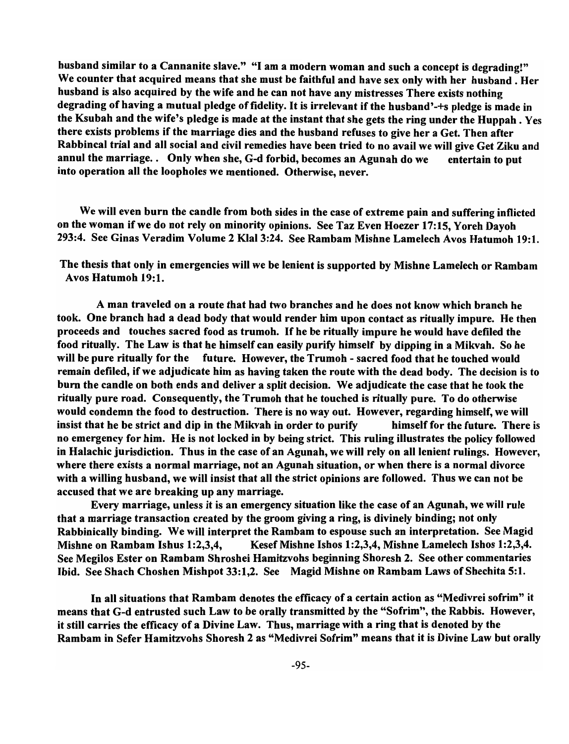husband similar to a Cannanite slave." "I am a modern woman and such a concept is degrading!" We counter that acquired means that she must be faithful and have sex only with her husband. Her husband is also acquired by the wife and he can not have any mistresses There exists nothing degrading of having a mutual pledge of fidelity. It is irrelevant if the husband'-+s pledge is made in the Ksubah and the wife's pledge is made at the instant that she gets the ring under the Huppah . Yes there exists problems if the marriage dies and the husband refuses to give her a Get. Then after Rabbincal trial and all social and civil remedies have been tried to no avail we will give Get Ziku and annul the marriage.. Only when she, G-d forbid, becomes an Agunah do we entertain to put into operation all the loopholes we mentioned. Otherwise, never.

We will even burn the candle from both sides in the case of extreme pain and suffering inflicted on the woman if we do not rely on minority opinions. See Taz Even Hoezer 17:15, Yoreh Dayoh 293:4. See Ginas Veradim Volume 2 KlaI3:24. See Rambam Mishne Lamelech Avos Hatumoh 19:1.

The thesis that only in emergencies will we be lenient is supported by Mishne Lamelech or Rambam Avos Hatumoh 19:1.

A man traveled on a route that had two branches and he does not know which branch he took. One branch had a dead body that would render him upon contact as ritually impure. He then proceeds and touches sacred food as trumoh. If he be ritually impure he would have defiled the food ritually. The Law is that he himself can easily purify himself by dipping in a Mikvah. So he will be pure ritually for the future. However, the Trumoh - sacred food that he touched would remain defiled, if we adjudicate him as having taken the route with the dead body. The decision is to burn the candle on both ends and deliver a split decision. We adjudicate the case that he took the ritually pure road. Consequently, the Trumoh that he touched is ritually pure. To do otherwise would condemn the food to destruction. There is no way out. However, regarding himself, we will insist that he be strict and dip in the Mikvah in order to purify himself for the future. There is no emergency for him. He is not locked in by being strict. This ruling illustrates the policy followed in Halachic jurisdiction. Thus in the case of an Agunah, we will rely on all lenient rulings. However, where there exists a normal marriage, not an Agunah situation, or when there is a normal divorce with a willing husband, we will insist that all the strict opinions are followed. Thus we can not be accused that we are breaking up any marriage.

Every marriage, unless it is an emergency situation like the case of an Agunah, we will rule that a marriage transaction created by the groom giving a ring, is divinely binding; not only Rabbinically binding. We will interpret the Rambam to espouse such an interpretation. See Magid Mishne on Rambam Ishus 1:2,3,4, Kesef Mishne Ishos 1:2,3,4, Mishne Lamelech Ishos 1:2,3,4. See Megilos Ester on Rambam Shroshei Hamitzvohs beginning Shoresh 2. See other commentaries Ibid. See Shach Choshen Mishpot 33:1,2. See Magid Mishne on Rambam Laws of Shechita 5:1.

In all situations that Rambam denotes the efficacy of a certain action as "Medivrei sofrim" it means that G-d entrusted such Law to be orally transmitted by the "Sofrim", the Rabbis. However, it still carries the efficacy of a Divine Law. Thus, marriage with a ring that is denoted by the Rambam in Sefer Hamitzvohs Shoresh 2 as "Medivrei Sofrim" means that it is Divine Law but orally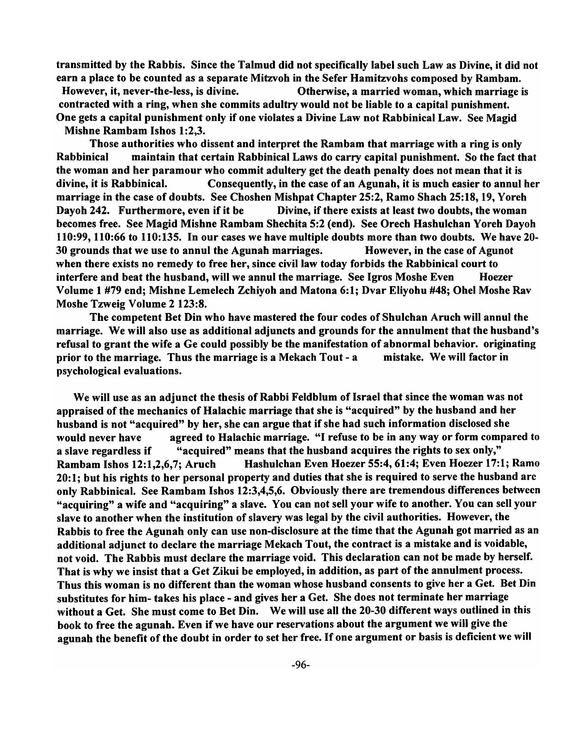transmitted by the Rabbis. Since the Talmud did not specifically label such Law as Divine, it did not earn a place to be counted as a separate Mitzvoh in the Sefer Hamitzvohs composed by Rambam. However, it, never-the-less, is divine. Otherwise, a married woman, which marriage is contracted with a ring, when she commits adultry would not be liable to a capital punishment. One gets a capital punishment only if one violates a Divine Law not Rabbinical Law. See Magid Mishne Rambam Ishos 1:2.3.

Those authorities who dissent and interpret the Rambam that marriage with a ring is only Rabbinical maintain that certain Rabbinical Laws do carry capital punishment. So the fact that the woman and her paramour who commit adultery get the death penalty does not mean that it is divine, it is Rabbinical. Consequently, in the case of an Agunah, it is much easier to annul her marriage in the case of doubts. See Choshen Mishpat Chapter 25:2, Ramo Shach 25:18, 19, Yoreh Dayoh 242. Furthermore, even if it be Divine, if there exists at least two doubts, the woman becomes free. See Magid Mishne Rambam Shechita 5:2 (end). See Orech Hashulchan Y oreh Dayoh 110:99, 110:66 to 110:135. In our cases we have multiple doubts more than two doubts. We have 20- 30 grounds that we use to annul the Agunah marriages. However, in the case of Agunot when there exists no remedy to free her, since civil law today forbids the Rabbinical court to interfere and beat the husband, will we annul the marriage. See Igros Moshe Even Hoezer Volume 1 #79 end; Mishne Lemelech Zchiyoh and Matona 6: 1; Dvar Eliyohu #48; Ohel Moshe Rav Moshe Tzweig Volume 2 123:8.

The competent Bet Din who have mastered the four codes of Shulchan Aruch will annul the marriage. We will also use as additional adjuncts and grounds for the annulment that the husband's refusal to grant the wife a Ge could possibly be the manifestation of abnormal behavior. originating prior to the marriage. Thus the marriage is a Mekach Tout - a mistake. We will factor in psychological evaluations.

We will use as an adjunct the thesis of Rabbi Feldblum of Israel that since the woman was not appraised of the mechanics of Halachic marriage that she is "acquired" by the husband and her husband is not "acquired" by her, she can argue that if she had such information disclosed she would never have agreed to Halachic marriage. "I refuse to be in any way or form compared to a slave regardless if "acquired" means that the husband acquires the rights to sex only," Rambam Ishos 12:1,2,6,7; Aruch Hashulchan Even Hoezer 55:4, 61:4; Even Hoezer 17:1; Ramo 20: 1; but his rights to her personal property and duties that she is required to serve the husband are only Rabbinical. See Rambam Ishos 12:3,4,5,6. Obviously there are tremendous differences between "acquiring" a wife and "acquiring" a slave. You can not sell your wife to another. You can sell your slave to another when the institution of slavery was legal by the civil authorities. However, the Rabbis to free the Agunah only can use non-disclosure at the time that the Agunah got married as an additional adjunct to declare the marriage Mekach Tout, the contract is a mistake and is voidable, not void. The Rabbis must declare the marriage void. This declaration can not be made by herself. That is why we insist that a Get Zikui be employed, in addition, as part of the annulment process. Thus this woman is no different than the woman whose husband consents to give her a Get. Bet Din substitutes for him- takes his place - and gives her a Get. She does not terminate her marriage without a Get. She must come to Bet Din. We will use all the 20-30 different ways outlined in this book to free the agunah. Even if we have our reservations about the argument we will give the agunah the benefit of the doubt in order to set her free. If one argument or basis is deficient we will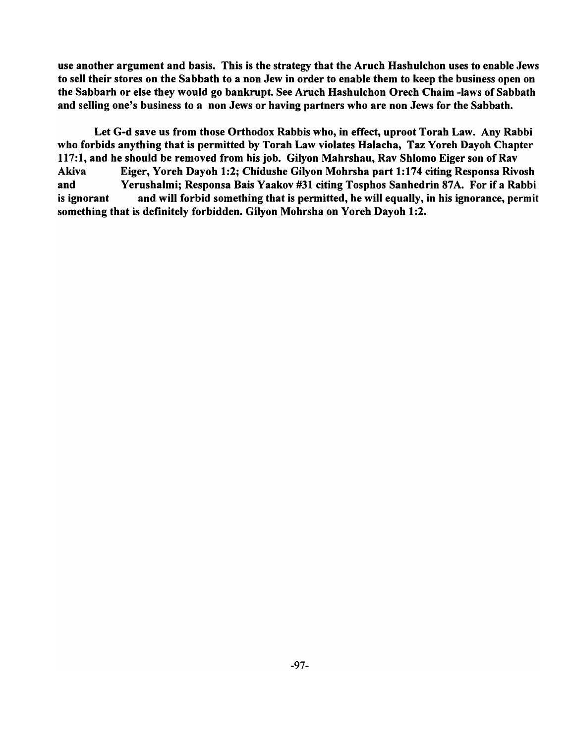use another argument and basis. This is the strategy that the Aruch Hashulchon uses to enable Jews to sell their stores on the Sabbath to a non Jew in order to enable them to keep the business open on the Sabbarh or else they would go bankrupt. See Aruch Hashulchon Orech Chaim -laws of Sabbath and selling one's business to a non Jews or having partners who are non Jews for the Sabbath.

Let G-d save us from those Orthodox Rabbis who, in effect, uproot Torah Law. Any Rabbi who forbids anything that is permitted by Torah Law violates Halacha, Taz Yoreh Dayoh Chapter 117:1, and he should be removed from his job. Gilvon Mahrshau, Rav Shlomo Eiger son of Rav A kiva Eiger, Yoreh Dayoh 1:2; Chidushe Gilyon Mohrsha part 1:174 citing Responsa Rivosh and Yerushalmi; Responsa Dais Yaakov #31 citing Tosphos Sanhedrin 87A. For if a Rabbi is ignorant and will forbid something that is permitted, he will equally, in his ignorance, permit something that is definitely forbidden. Gilvon Mohrsha on Yoreh Dayoh 1:2.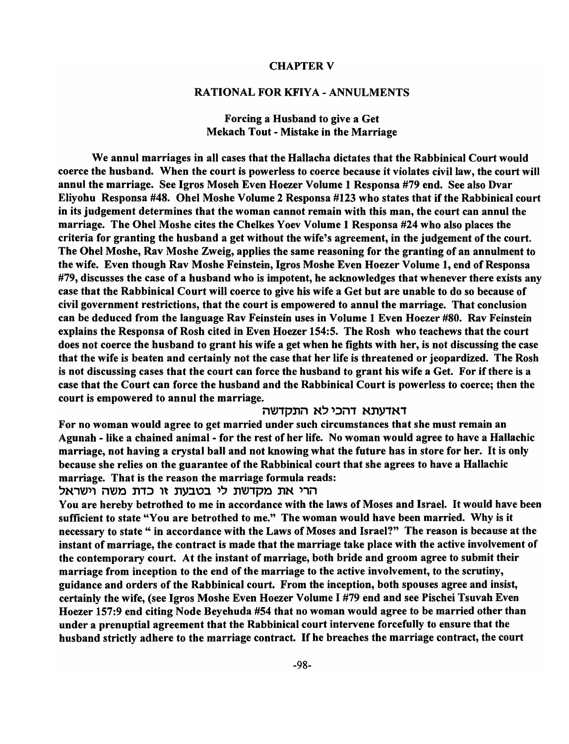## CHAPTER V

### RATIONAL FOR KFIYA - ANNULMENTS

## Forcing a Husband to give a Get Mekach Tout - Mistake in the Marriage

We annul marriages in all cases that the Hallacha dictates that the Rabbinical Court would coerce the husband. When the court is powerless to coerce because it violates civil law, the court will annul the marriage. See Igros Moseh Even Hoezer Volume 1 Responsa #79 end. See also Dvar Eliyohu Responsa #48. Ohel Moshe Volume 2 Responsa #123 who states that if the Rabbinical court in its judgement determines that the woman cannot remain with this man, the court can annul the marriage. The Ohel Moshe cites the Chelkes Yoev Volume 1 Responsa #24 who also places the criteria for granting the husband a get without the wife's agreement, in the judgement of the court. The Ohel Moshe, Rav Moshe Zweig, applies the same reasoning for the granting of an annulment to the wife. Even though Rav Moshe Feinstein, Igros Moshe Even Hoezer Volume 1, end of Responsa #79, discusses the case of a husband who is impotent, he acknowledges that whenever there exists any case that the Rabbinical Court will coerce to give his wife a Get but are unable to do so because of civil government restrictions, that the court is empowered to annul the marriage. That conclusion can be deduced from the language Rav Feinstein uses in Volume 1 Even Hoezer #80. Rav Feinstein explains the Responsa of Rosh cited in Even Hoezer 154:5. The Rosh who teachews that the court does not coerce the husband to grant his wife a get when he fights with her, is not discussing the case that the wife is beaten and certainly not the case that her life is threatened or jeopardized. The Rosh is not discussing cases that the court can force the husband to grant his wife a Get. For if there is a case that the Court can force the husband and the Rabbinical Court is powerless to coerce; then the court is empowered to annul the marriage.

## דאדעתא דהכי לא התקדשה

For no woman would agree to get married under such circumstances that she must remain an Agunah - like a chained animal - for the rest of her life. No woman would agree to have a Hallachic marriage, not having a crystal ball and not knowing what the future has in store for her. It is only because she relies on the guarantee of the Rabbinical court that she agrees to have a Hallachic marriage. That is the reason the marriage formula reads:

#### הרי את מקדשת לי בטבעת זו כדת משה וישראל

You are hereby betrothed to me in accordance with the laws of Moses and Israel. It would have been sufficient to state "You are betrothed to me." The woman would have been married. Why is it necessary to state " in accordance with the Laws of Moses and Israel?" The reason is because at the instant of marriage, the contract is made that the marriage take place with the active involvement of the contemporary court. At the instant of marriage, both bride and groom agree to submit their marriage from inception to the end of the marriage to the active involvement, to the scrutiny, guidance and orders of the Rabbinical court. From the inception, both spouses agree and insist, certainly the wife, (see Igros Moshe Even Hoezer Volume I #79 end and see Pischei Tsuvah Even Hoezer 157:9 end citing Node Beyehuda #54 that no woman would agree to be married other than under a prenuptial agreement that the Rabbinical court intervene forcefully to ensure that the husband strictly adhere to the marriage contract. If he breaches the marriage contract, the court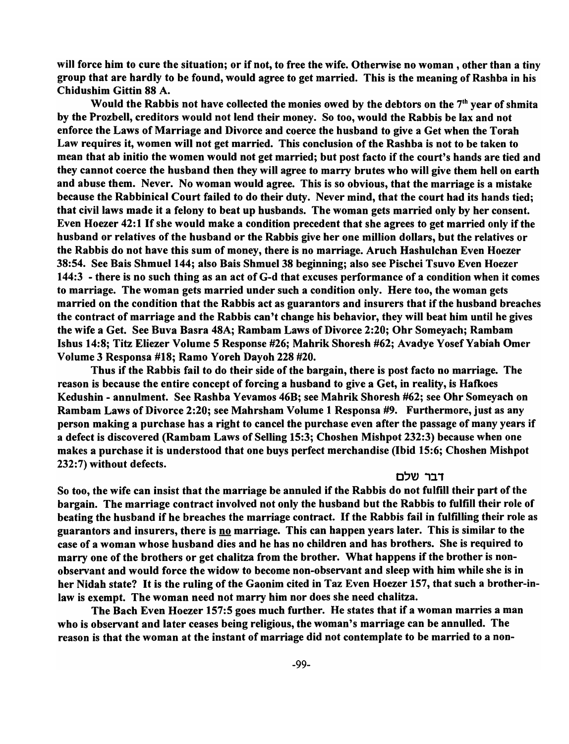will force him to cure the situation; or if not, to free the wife. Otherwise no woman , other than a tiny group that are hardly to be found, would agree to get married. This is the meaning of Rashba in his Chidushim Gittin 88 A.

Would the Rabbis not have collected the monies owed by the debtors on the  $7<sup>th</sup>$  year of shmita by the Prozbell, creditors would not lend their money. So too, would the Rabbis be lax and not enforce the Laws of Marriage and Divorce and coerce the husband to give a Get when the Torah Law requires it, women will not get married. This conclusion of the Rashba is not to be taken to mean that ab initio the women would not get married; but post facto if the court's hands are tied and they cannot coerce the husband then they will agree to marry brutes who will give them hell on earth and abuse them. Never. No woman would agree. This is so obvious, that the marriage is a mistake because the Rabbinical Court failed to do their duty. Never mind, that the court had its hands tied; that civil laws made it a felony to beat up husbands. The woman gets married only by her consent. Even Hoezer 42:1 If she would make a condition precedent that she agrees to get married only if the husband or relatives of the husband or the Rabbis give her one million dollars, but the relatives or the Rabbis do not have this sum of money, there is no marriage. Aruch Hashulchan Even Hoezer 38:54. See Bais Shmuel 144; also Bais Shmuel 38 beginning; also see Pischei Tsuvo Even Hoezer 144:3 - there is no such thing as an act of G-d that excuses performance of a condition when it comes to marriage. The woman gets married under such a condition only. Here too, the woman gets married on the condition that the Rabbis act as guarantors and insurers that if the husband breaches the contract of marriage and the Rabbis can't change his behavior, they will beat him until he gives the wife a Get. See Buva Basra 48A; Rambam Laws of Divorce 2:20; Ohr Someyach; Rambam Ishus 14:8; Titz Eliezer Volume 5 Response #26; Mahrik Shoresh #62; Avadye YosefYabiah Omer Volume 3 Responsa #18; Ramo Y oreh Dayoh 228 #20.

Thus if the Rabbis fail to do their side of the bargain, there is post facto no marriage. The reason is because the entire concept of forcing a husband to give a Get, in reality, is Hafkoes Kedushin - annulment. See Rashba Yevamos 46B; see Mahrik Shoresh #62; see Ohr Someyach on Rambam Laws of Divorce 2:20; see Mahrsham Volume 1 Responsa #9. Furthermore, just as any person making a purchase has a right to cancel the purchase even after the passage of many years if a defect is discovered (Rambam Laws of Selling 15:3; Choshen Mishpot 232:3) because when one makes a purchase it is understood that one buys perfect merchandise (Ibid 15:6; Choshen Mishpot 232:7) without defects.

### דבר שלם

So too, the wife can insist that the marriage be annuled if the Rabbis do not fulfill their part of the bargain. The marriage contract involved not only the husband but the Rabbis to fulfill their role of beating the husband if he breaches the marriage contract. If the Rabbis fail in fulfilling their role as guarantors and insurers, there is no marriage. This can happen years later. This is similar to the case of a woman whose husband dies and he has no children and has brothers. She is required to marry one of the brothers or get chalitza from the brother. What happens if the brother is nonobservant and would force the widow to become non-observant and sleep with him while she is in her Nidah state? It is the ruling of the Gaonim cited in Taz Even Hoezer 157, that such a brother-inlaw is exempt. The woman need not marry him nor does she need chalitza.

The Bach Even Hoezer 157:5 goes much further. He states that if a woman marries a man who is observant and later ceases being religious, the woman's marriage can be annulled. The reason is that the woman at the instant of marriage did not contemplate to be married to a non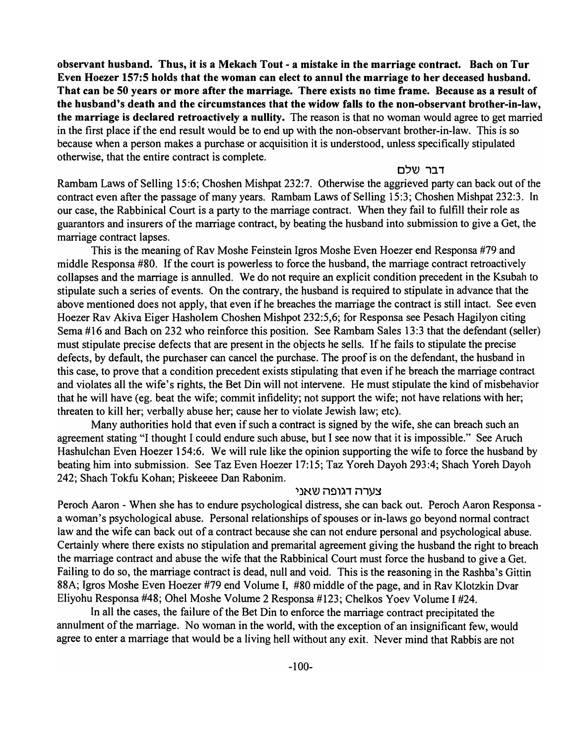observant husband. Thus, it is a Mekach Tout - a mistake in the marriage contract. Bach on Tur Even Hoezer 157:5 holds that the woman can elect to annul the marriage to her deceased husband. That can be 50 years or more after the marriage. There exists no time frame. Because as a result of the husband's death and the circumstances that the widow falls to the non-observant brother-in-law, the marriage is declared retroactively a nullity. The reason is that no woman would agree to get married in the first place if the end result would be to end up with the non-observant brother-in-law. This is so because when a person makes a purchase or acquisition it is understood, unless specifically stipulated otherwise, that the entire contract is complete.

## דבר שלם

Rambam Laws of Selling 15:6; Choshen Mishpat 232:7. Otherwise the aggrieved party can back out of the contract even after the passage of many years. Rambam Laws of Selling 15:3; Choshen Mishpat 232:3. In our case, the Rabbinical Court is a party to the marriage contract. When they fail to fulfill their role as guarantors and insurers of the marriage contract, by beating the husband into submission to give a Get, the marriage contract lapses.

This is the meaning of Rav Moshe Feinstein Igros Moshe Even Hoezer end Responsa #79 and middle Responsa #80. If the court is powerless to force the husband, the marriage contract retroactively collapses and the marriage is annulled. We do not require an explicit condition precedent in the Ksubah to stipulate such a series of events. On the contrary, the husband is required to stipulate in advance that the above mentioned does not apply, that even if he breaches the marriage the contract is still intact. See even Hoezer Rav Akiva Eiger Hasholem Choshen Mishpot 232:5,6; for Responsa see Pesach Hagilyon citing Serna #16 and Bach on 232 who reinforce this position. See Rambam Sales 13:3 that the defendant (seller) must stipulate precise defects that are present in the objects he sells. If he fails to stipulate the precise defects, by default, the purchaser can cancel the purchase. The proof is on the defendant, the husband in this case, to prove that a condition precedent exists stipulating that even if he breach the marriage contract and violates all the wife's rights, the Bet Din will not intervene. He must stipulate the kind of misbehavior that he will have (eg. beat the wife; commit infidelity; not support the wife; not have relations with her; threaten to kill her; verbally abuse her; cause her to violate Jewish law; etc).

Many authorities hold that even if such a contract is signed by the wife, she can breach such an agreement stating "I thought 1 could endure such abuse, but I see now that it is impossible." See Aruch Hashulchan Even Hoezer 154:6. We will rule like the opinion supporting the wife to force the husband by beating him into submission. See Taz Even Hoezer 17:15; Taz Yoreh Dayoh 293:4; Shach Yoreh Dayoh 242; Shach Tokfu Kohan; Piskeeee Dan Rabonim.

## צערה דגופה שאני

Peroch Aaron - When she has to endure psychological distress, she can back out. Peroch Aaron Responsa a woman's psychological abuse. Personal relationships of spouses or in-laws go beyond normal contract law and the wife can back out of a contract because she can not endure personal and psychological abuse. Certainly where there exists no stipulation and premarital agreement giving the husband the right to breach the marriage contract and abuse the wife that the Rabbinical Court must force the husband to give a Get. Failing to do so, the marriage contract is dead, null and void. This is the reasoning in the Rashba's Gittin 88A; Igros Moshe Even Hoezer #79 end Volume I, #80 middle of the page, and in Rav Klotzkin Dvar Eliyohu Responsa #48; Ohel Moshe Volume 2 Responsa #123; Chelkos Yoev Volume 1 #24.

In all the cases, the failure of the Bet Din to enforce the marriage contract precipitated the annulment of the marriage. No woman in the world, with the exception of an insignificant few, would agree to enter a marriage that would be a living hell without any exit. Never mind that Rabbis are not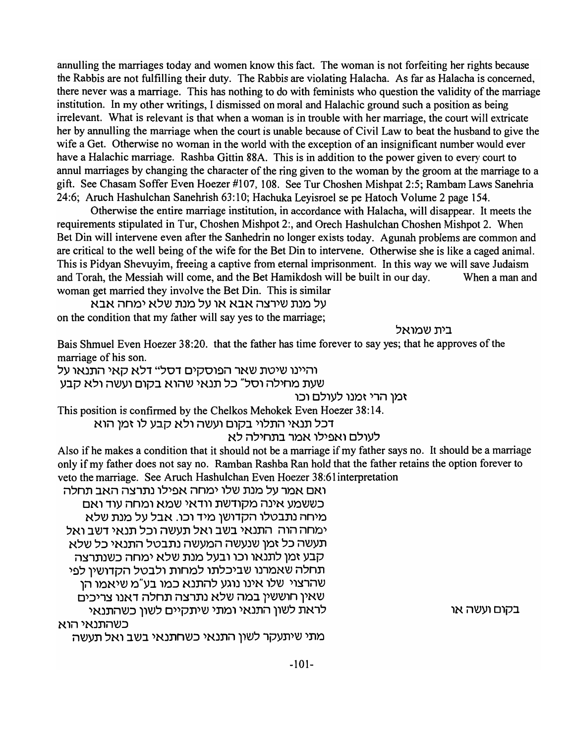annulling the marriages today and women know this fact. The woman is not forfeiting her rights because the Rabbis are not fulfilling their duty. The Rabbis are violating Halacha. As far as Halacha is concerned, there never was a marriage. This has nothing to do with feminists who question the validity of the marriage institution. In my other writings, I dismissed on moral and Halachic ground such a position as being irrelevant. What is relevant is that when a woman is in trouble with her marriage, the court will extricate her by annulling the marriage when the court is unable because of Civil Law to beat the husband to give the wife a Get. Otherwise no woman in the world with the exception of an insignificant number would ever have a Halachic marriage. Rashba Gittin 88A. This is in addition to the power given to every court to annul marriages by changing the character of the ring given to the woman by the groom at the marriage to a gift. See Chasam Soffer Even Hoezer #107, 108. See Tur Choshen Mishpat 2:5; Rambam Laws Sanehria 24:6; Aruch Hashulchan Sanehrish 63:10; Hachuka Leyisroel se pe Hatoch Volume 2 page 154.

Otherwise the entire marriage institution, in accordance with Halacha, will disappear. It meets the requirements stipulated in Tur, Choshen Mishpot 2:, and Orech Hashulchan Choshen Mishpot 2. When Bet Din will intervene even after the Sanhedrin no longer exists today. Agunah problems are common and are critical to the well being of the wife for the Bet Din to intervene. Otherwise she is like a caged animal. This is Pidyan Shevuyim, freeing a captive from eternal imprisonment. In this way we will save Judaism and Torah, the Messiah will come, and the Bet Hamikdosh will be built in our day. When a man and woman get married they involve the Bet Din. This is similar

על מנת שירצה אבא או על מנת שלא ימחה אבא on the condition that my father will say yes to the marriage;

בית שמואל

Bais Shmuel Even Hoezer 38:20. that the father has time forever to say yes; that he approves of the marriage of his son.

והיינו שיטת שאר הפוסקים דסל" דלא קאי התנאו על

שעת מחילה וסל" כל תנאי שהוא בקום ועשה ולא קבע

זמן הרי זמנו לעולם וכו

This position is confirmed by the Chelkos Mehokek Even Hoezer 38:14.

דכל תנאי התלוי בקום ועשה ולא קבע לו זמן הוא

לעולם ואפילו אמר בתחילה לא

Also if he makes a condition that it should not be a marriage if my father says no. It should be a marriage only if my father does not say no. Ramban Rashba Ran hold that the father retains the option forever to veto the marriage. See Aruch Hashulchan Even Hoezer 38:61 interpretation

ואם אמר על מנת שלו ימחה אפילו נתרצה האב תחלה כששמע אינה מקודשת וודאי שמא ומחה עוד ואם מיחה נתבטלו הקדושן מיד וכו. אבל על מנת שלא ימחה הוה. התנאי בשב ואל תעשה וכל תנאי דשב ואל תעשה כל זמן שנעשה המעשה נתבטל התנאי כל שלא קבע זמן לתנאו וכו ובעל מנת שלא ימחה כשנתרצה תחלה שאמרנו שביכלתו למחות ולבטל הקדושין לפי שהרצוי שלו אינו נוגע להתנא כמו בע"מ שיאמו הו שאין חוששין במה שלא נתרצה תחלה דאנו צריכים בקום ועשה או לראת לשון התנאי ומתי שיתקיים לשון כשהתנאי כשהתנאי הוא

מתי שיתעקר לשון התנאי כשחתנאי בשב ואל תעשה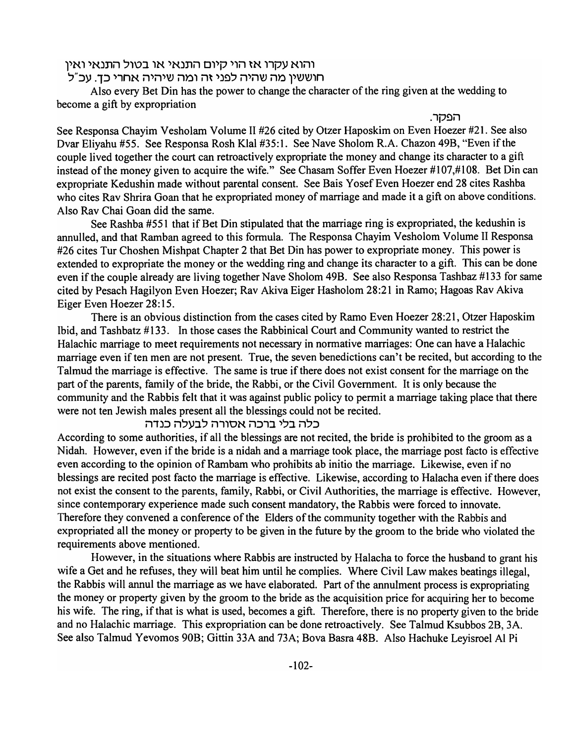# והוא עקרו אז הוי קיום התנאי או בטול התנאי ואין

# 'חוששין מה שהיה לפני זה ומה שיהיה אחרי כד. עכ"ל

Also every Bet Din has the power to change the character of the ring given at the wedding to become a gift by expropriation

הפקר.

See Responsa Chayim Vesholam Volume II #26 cited by Otzer Haposkim on Even Hoezer #21. See also Dvar Eliyahu #55. See Responsa Rosh Klal #35:1. See Nave Sholom R.A. Chazon 49B, "Even if the couple lived together the court can retroactively expropriate the money and change its character to a gift instead of the money given to acquire the wife." See Chasam Soffer Even Hoezer #107,#108. Bet Din can expropriate Kedushin made without parental consent. See Bais Y osef Even Hoezer end 28 cites Rashba who cites Rav Shrira Goan that he expropriated money of marriage and made it a gift on above conditions. Also Rav Chai Goan did the same.

See Rashba #551 that if Bet Din stipulated that the marriage ring is expropriated, the kedushin is annulled, and that Ramban agreed to this formula. The Responsa Chayim Vesholom Volume II Responsa #26 cites Tur Choshen Mishpat Chapter 2 that Bet Din has power to expropriate money. This power is extended to expropriate the money or the wedding ring and change its character to a gift. This can be done even if the couple already are living together Nave Sholom 49B. See also Responsa Tashbaz #133 for same cited by Pesach Hagilyon Even Hoezer; Rav Akiva Eiger Hasholom 28:21 in Ramo; Hagoas Rav Akiva Eiger Even Hoezer 28:15.

There is an obvious distinction from the cases cited by Ramo Even Hoezer 28:21, Otzer Haposkim Ibid, and Tashbatz #133. In those cases the Rabbinical Court and Community wanted to restrict the Halachic marriage to meet requirements not necessary in normative marriages: One can have a Halachic marriage even if ten men are not present. True, the seven benedictions can't be recited, but according to the Talmud the marriage is effective. The same is true if there does not exist consent for the marriage on the part of the parents, family of the bride, the Rabbi, or the Civil Government. It is only because the community and the Rabbis felt that it was against public policy to permit a marriage taking place that there were not ten Jewish males present all the blessings could not be recited.

### כלה בלי ברכה אסורה לבעלה כנדה

According to some authorities, if all the blessings are not recited, the bride is prohibited to the groom as a Nidah. However, even if the bride is a nidah and a marriage took place, the marriage post facto is effective even according to the opinion of Rambam who prohibits ab initio the marriage. Likewise, even if no blessings are recited post facto the marriage is effective. Likewise, according to Halacha even if there does not exist the consent to the parents, family, Rabbi, or Civil Authorities, the marriage is effective. However, since contemporary experience made such consent mandatory, the Rabbis were forced to innovate. Therefore they convened a conference of the Elders of the community together with the Rabbis and expropriated all the money or property to be given in the future by the groom to the bride who violated the requirements above mentioned.

However, in the situations where Rabbis are instructed by Halacha to force the husband to grant his wife a Get and he refuses, they will beat him until he complies. Where Civil Law makes beatings illegal, the Rabbis will annul the marriage as we have elaborated. Part of the annulment process is expropriating the money or property given by the groom to the bride as the acquisition price for acquiring her to become his wife. The ring, if that is what is used, becomes a gift. Therefore, there is no property given to the bride and no Halachic marriage. This expropriation can be done retroactively. See Talmud Ksubbos 2B, 3A. See also Talmud Yevomos 90B; Gittin 33A and 73A; Bova Basra 48B. Also Hachuke Leyisroel Al Pi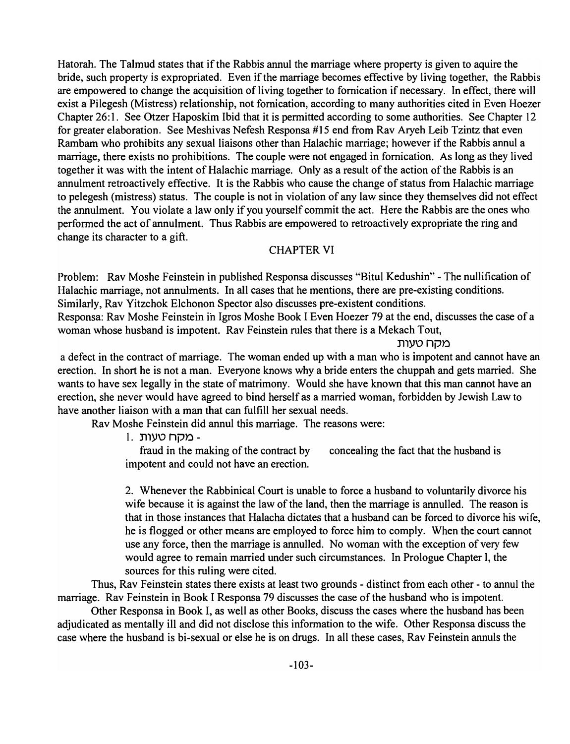Hatorah. The Talmud states that if the Rabbis annul the marriage where property is given to aquire the bride, such property is expropriated. Even if the marriage becomes effective by living together, the Rabbis are empowered to change the acquisition of living together to fornication if necessary. In effect, there will exist a Pilegesh (Mistress) relationship, not fornication, according to many authorities cited in Even Hoezer Chapter 26:1. See Otzer Haposkim Ibid that it is permitted according to some authorities. See Chapter 12 for greater elaboration. See Meshivas Nefesh Responsa #15 end from Rav Aryeh Leib Tzintz that even Rambam who prohibits any sexual liaisons other than Halachic marriage; however if the Rabbis annul a marriage, there exists no prohibitions. The couple were not engaged in fornication. As long as they lived together it was with the intent of Halachic marriage. Only as a result of the action of the Rabbis is an annulment retroactively effective. It is the Rabbis who cause the change of status from Halachic marriage to pelegesh (mistress) status. The couple is not in violation of any law since they themselves did not effect the annulment. You violate a law only if you yourself commit the act. Here the Rabbis are the ones who performed the act of annulment. Thus Rabbis are empowered to retroactively expropriate the ring and change its character to a gift.

# CHAPTER VI

Problem: Rav Moshe Feinstein in published Responsa discusses "Bitul Kedushin" - The nullification of Halachic marriage, not annulments. In all cases that he mentions, there are pre-existing conditions. Similarly, Rav Yitzchok E1chonon Spector also discusses pre-existent conditions.

Responsa: Rav Moshe Feinstein in Igros Moshe Book I Even Hoezer 79 at the end, discusses the case of a woman whose husband is impotent. Rav Feinstein rules that there is a Mekach Tout,

## מקח טעות

a defect in the contract of marriage. The woman ended up with a man who is impotent and cannot have an erection. In short he is not a man. Everyone knows why a bride enters the chuppah and gets married. She wants to have sex legally in the state of matrimony. Would she have known that this man cannot have an erection, she never would have agreed to bind herself as a married woman, forbidden by Jewish Law to have another liaison with a man that can fulfill her sexual needs.

Rav Moshe Feinstein did annul this marriage. The reasons were:

1. מקח טעות -

fraud in the making of the contract by concealing the fact that the husband is impotent and could not have an erection.

2. Whenever the Rabbinical Court is unable to force a husband to voluntarily divorce his wife because it is against the law of the land, then the marriage is annulled. The reason is that in those instances that Halacha dictates that a husband can be forced to divorce his wife, he is flogged or other means are employed to force him to comply. When the court cannot use any force, then the marriage is annulled. No woman with the exception of very few would agree to remain married under such circumstances. In Prologue Chapter I, the sources for this ruling were cited.

Thus, Rav Feinstein states there exists at least two grounds - distinct from each other - to annul the marriage. Rav Feinstein in Book I Responsa 79 discusses the case of the husband who is impotent.

Other Responsa in Book I, as well as other Books, discuss the cases where the husband has been adjudicated as mentally ill and did not disclose this information to the wife. Other Responsa discuss the case where the husband is bi-sexual or else he is on drugs. In all these cases, Rav Feinstein annuls the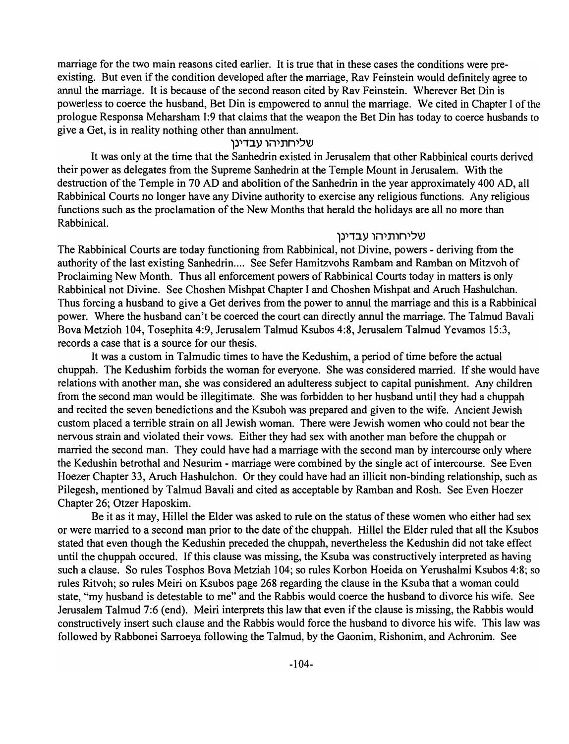marriage for the two main reasons cited earlier. It is true that in these cases the conditions were preexisting. But even if the condition developed after the marriage, Rav Feinstein would definitely agree to annul the marriage. It is because of the second reason cited by Rav Feinstein. Wherever Bet Din is powerless to coerce the husband, Bet Din is empowered to annul the marriage. We cited in Chapter I of the prologue Responsa Meharsham 1:9 that claims that the weapon the Bet Din has today to coerce husbands to give a Get, is in reality nothing other than annulment.

## שליחתיהו עבדינו

It was only at the time that the Sanhedrin existed in Jerusalem that other Rabbinical courts derived their power as delegates from the Supreme Sanhedrin at the Temple Mount in Jerusalem. With the destruction of the Temple in 70 AD and abolition of the Sanhedrin in the year approximately 400 AD, all Rabbinical Courts no longer have any Divine authority to exercise any religious functions. Any religious functions such as the proclamation of the New Months that herald the holidays are all no more than Rabbinical.

## שליחותיהו עבדינן

The Rabbinical Courts are today functioning from Rabbinical, not Divine, powers - deriving from the authority of the last existing Sanhedrin.... See Sefer Hamitzvohs Rambam and Ramban on Mitzvoh of Proclaiming New Month. Thus all enforcement powers of Rabbinical Courts today in matters is only Rabbinical not Divine. See Choshen Mishpat Chapter I and Choshen Mishpat and Aruch Hashulchan. Thus forcing a husband to give a Get derives from the power to annul the marriage and this is a Rabbinical power. Where the husband can't be coerced the court can directly annul the marriage. The Talmud Bavali Bova Metzioh 104, Tosephita 4:9, Jerusalem Talmud Ksubos 4:8, Jerusalem Talmud Yevamos 15:3, records a case that is a source for our thesis.

It was a custom in Talmudic times to have the Kedushim, a period of time before the actual chuppah. The Kedushim forbids the woman for everyone. She was considered married. If she would have relations with another man, she was considered an adulteress subject to capital punishment. Any children from the second man would be illegitimate. She was forbidden to her husband until they had a chuppah and recited the seven benedictions and the Ksuboh was prepared and given to the wife. Ancient Jewish custom placed a terrible strain on all Jewish woman. There were Jewish women who could not bear the nervous strain and violated their vows. Either they had sex with another man before the chuppah or married the second man. They could have had a marriage with the second man by intercourse only where the Kedushin betrothal and Nesurim - marriage were combined by the single act of intercourse. See Even Hoezer Chapter 33, Aruch Hashulchon. Or they could have had an illicit non-binding relationship, such as Pilegesh, mentioned by Talmud Bavali and cited as acceptable by Ramban and Rosh. See Even Hoezer Chapter 26; Otzer Haposkim.

Be it as it may, Hillel the Elder was asked to rule on the status of these women who either had sex or were married to a second man prior to the date of the chuppah. Hillel the Elder ruled that all the Ksubos stated that even though the Kedushin preceded the chuppah, nevertheless the Kedushin did not take effect until the chuppah occured. If this clause was missing, the Ksuba was constructively interpreted as having such a clause. So rules Tosphos Bova Metziah 104; so rules Korbon Hoeida on Yerushalmi Ksubos 4:8; so rules Ritvoh; so rules Meiri on Ksubos page 268 regarding the clause in the Ksuba that a woman could state, "my husband is detestable to me" and the Rabbis would coerce the husband to divorce his wife. See Jerusalem Talmud 7:6 (end). Meiri interprets this law that even if the clause is missing, the Rabbis would constructively insert such clause and the Rabbis would force the husband to divorce his wife. This law was followed by Rabbonei Sarroeya following the Talmud, by the Gaonim, Rishonim, and Achronim. See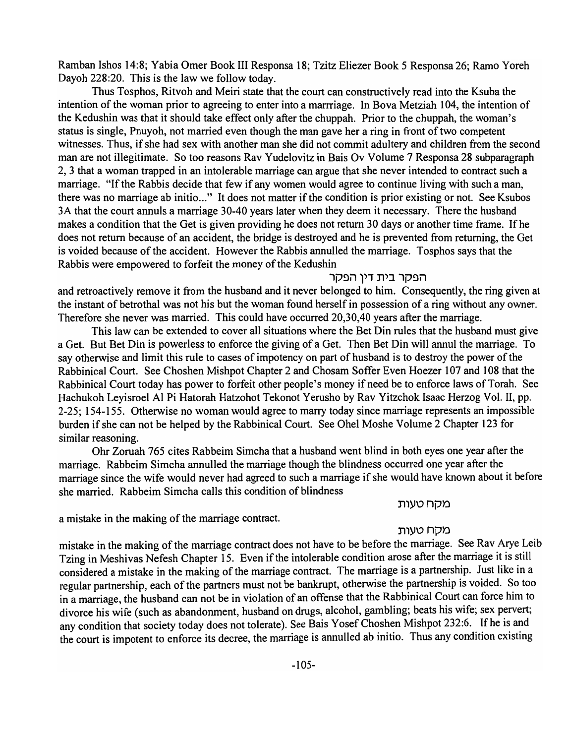Ramban Ishos 14:8; Yabia Orner Book III Responsa 18; Tzitz Eliezer Book 5 Responsa 26; Ramo Yoreh Dayoh 228:20. This is the law we follow today.

Thus Tosphos, Ritvoh and Meiri state that the court can constructively read into the Ksuba the intention of the woman prior to agreeing to enter into a marrriage. In Bova Metziah 104, the intention of the Kedushin was that it should take effect only after the chuppah. Prior to the chuppah, the woman's status is single, Pnuyoh, not married even though the man gave her a ring in front of two competent witnesses. Thus, if she had sex with another man she did not commit adultery and children from the second man are not illegitimate. So too reasons Rav Yudelovitz in Bais Ov Volume 7 Responsa 28 subparagraph 2, 3 that a woman trapped in an intolerable marriage can argue that she never intended to contract such a marriage. "If the Rabbis decide that few if any women would agree to continue living with such a man, there was no marriage ab initio..." It does not matter if the condition is prior existing or not. See Ksubos 3A that the court annuls a marriage 30-40 years later when they deem it necessary. There the husband makes a condition that the Get is given providing he does not return 30 days or another time frame. If he does not return because of an accident, the bridge is destroyed and he is prevented from returning, the Get is voided because of the accident. However the Rabbis annulled the marriage. Tosphos says that the Rabbis were empowered to forfeit the money of the Kedushin

## הפקר בית דיו הפקר

and retroactively remove it from the husband and it never belonged to him. Consequently, the ring given at the instant of betrothal was not his but the woman found herself in possession of a ring without any owner. Therefore she never was married. This could have occurred 20,30,40 years after the marriage.

This law can be extended to cover all situations where the Bet Din rules that the husband must give a Get. But Bet Din is powerless to enforce the giving of a Get. Then Bet Din will annul the marriage. To say otherwise and limit this rule to cases of impotency on part of husband is to destroy the power of the Rabbinical Court. See Choshen Mishpot Chapter 2 and Chosam Soffer Even Hoezer 107 and 108 that the Rabbinical Court today has power to forfeit other people's money if need be to enforce laws of Torah. See Hachukoh Leyisroel Al Pi Hatorah Hatzohot Tekonot Yerusho by Rav Yitzchok Isaac Herzog Vol. II, pp. 2-25; 154-155. Otherwise no woman would agree to marry today since marriage represents an impossible burden if she can not be helped by the Rabbinical Court. See Ohel Moshe Volume 2 Chapter 123 for similar reasoning.

Ohr Zoruah 765 cites Rabbeim Simcha that a husband went blind in both eyes one year after the marriage. Rabbeim Simcha annulled the marriage though the blindness occurred one year after the marriage since the wife would never had agreed to such a marriage if she would have known about it before she married. Rabbeim Simcha calls this condition of blindness

## מקח טעות

a mistake in the making of the marriage contract.

## מקח טעות

mistake in the making of the marriage contract does not have to be before the marriage. See Rav Arye Leib Tzing in Meshivas Nefesh Chapter 15. Even if the intolerable condition arose after the marriage it is still considered a mistake in the making of the marriage contract. The marriage is a partnership. Just like in a regular partnership, each of the partners must not be bankrupt, otherwise the partnership is voided. So too in a marriage, the husband can not be in violation of an offense that the Rabbinical Court can force him to divorce his wife (such as abandonment, husband on drugs, alcohol, gambling; beats his wife; sex pervert; any condition that society today does not tolerate). See Bais Yosef Choshen Mishpot 232:6. If he is and the court is impotent to enforce its decree, the marriage is annulled ab initio. Thus any condition existing